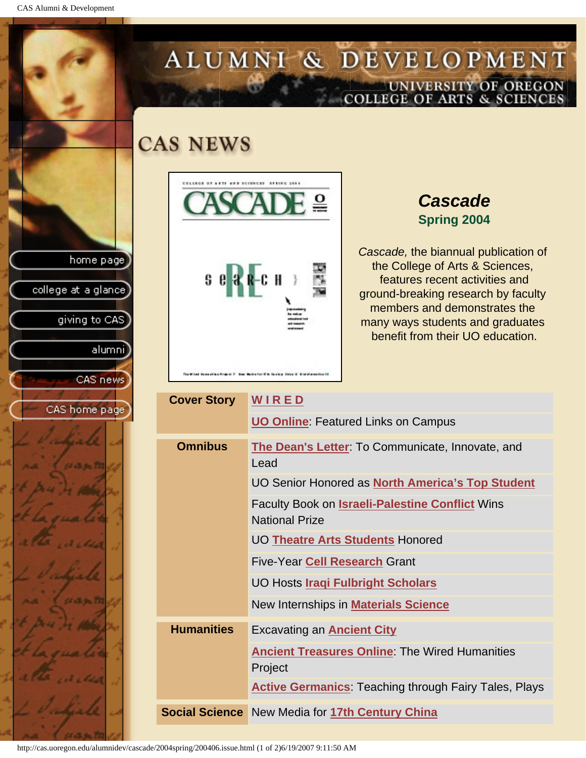CAS Alumni & Development

home page

college at a glance

giving to CAS

alumni

CAS news

CAS home page

## ALUMNI & DEVELOPMENT UNIVERSITY OF OREGON<br>COLLEGE OF ARTS & SCIENCES

## **CAS NEWS**



## *Cascade* **Spring 2004**

*Cascade,* the biannual publication of the College of Arts & Sciences, features recent activities and ground-breaking research by faculty members and demonstrates the many ways students and graduates benefit from their UO education.

| <b>Cover Story</b> | WIRED                                                                           |
|--------------------|---------------------------------------------------------------------------------|
|                    | <b>UO Online: Featured Links on Campus</b>                                      |
| <b>Omnibus</b>     | The Dean's Letter: To Communicate, Innovate, and<br>Lead                        |
|                    | UO Senior Honored as North America's Top Student                                |
|                    | <b>Faculty Book on Israeli-Palestine Conflict Wins</b><br><b>National Prize</b> |
|                    | <b>UO Theatre Arts Students Honored</b>                                         |
|                    | <b>Five-Year Cell Research Grant</b>                                            |
|                    | UO Hosts <i>Iraqi Fulbright Scholars</i>                                        |
|                    | New Internships in <b>Materials Science</b>                                     |
| <b>Humanities</b>  | <b>Excavating an Ancient City</b>                                               |
|                    | <b>Ancient Treasures Online: The Wired Humanities</b><br>Project                |
|                    | <b>Active Germanics: Teaching through Fairy Tales, Plays</b>                    |
|                    | <b>Social Science</b> New Media for 17th Century China                          |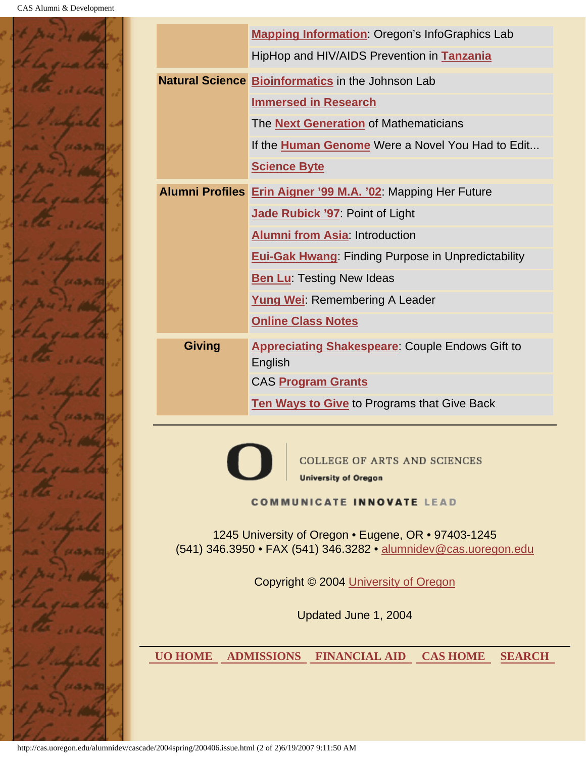

|                | Mapping Information: Oregon's InfoGraphics Lab                                                                         |  |  |  |  |
|----------------|------------------------------------------------------------------------------------------------------------------------|--|--|--|--|
|                | HipHop and HIV/AIDS Prevention in Tanzania                                                                             |  |  |  |  |
|                | <b>Natural Science Bioinformatics in the Johnson Lab</b>                                                               |  |  |  |  |
|                | <b>Immersed in Research</b>                                                                                            |  |  |  |  |
|                | The <b>Next Generation</b> of Mathematicians                                                                           |  |  |  |  |
|                | If the Human Genome Were a Novel You Had to Edit                                                                       |  |  |  |  |
|                | <b>Science Byte</b>                                                                                                    |  |  |  |  |
|                | Alumni Profiles Erin Aigner '99 M.A. '02: Mapping Her Future                                                           |  |  |  |  |
|                | <b>Jade Rubick '97: Point of Light</b>                                                                                 |  |  |  |  |
|                | <b>Alumni from Asia: Introduction</b>                                                                                  |  |  |  |  |
|                | <b>Eui-Gak Hwang: Finding Purpose in Unpredictability</b>                                                              |  |  |  |  |
|                | <b>Ben Lu: Testing New Ideas</b>                                                                                       |  |  |  |  |
|                | <b>Yung Wei: Remembering A Leader</b>                                                                                  |  |  |  |  |
|                | <b>Online Class Notes</b>                                                                                              |  |  |  |  |
| <b>Giving</b>  | <b>Appreciating Shakespeare: Couple Endows Gift to</b>                                                                 |  |  |  |  |
|                | English                                                                                                                |  |  |  |  |
|                | CAS Program Grants                                                                                                     |  |  |  |  |
|                | <b>Ten Ways to Give to Programs that Give Back</b>                                                                     |  |  |  |  |
|                |                                                                                                                        |  |  |  |  |
|                | <b>COLLEGE OF ARTS AND SCIENCES</b>                                                                                    |  |  |  |  |
|                | <b>University of Oregon</b>                                                                                            |  |  |  |  |
|                | <b>COMMUNICATE INNOVATE LEAD</b>                                                                                       |  |  |  |  |
|                | 1245 University of Oregon • Eugene, OR • 97403-1245<br>(541) 346.3950 · FAX (541) 346.3282 · alumnidev@cas.uoregon.edu |  |  |  |  |
|                | Copyright © 2004 University of Oregon                                                                                  |  |  |  |  |
|                | Updated June 1, 2004                                                                                                   |  |  |  |  |
| <b>UO HOME</b> | <b>ADMISSIONS</b><br><b>FINANCIAL AID</b><br><b>CAS HOME</b><br><b>SEARCH</b>                                          |  |  |  |  |
|                |                                                                                                                        |  |  |  |  |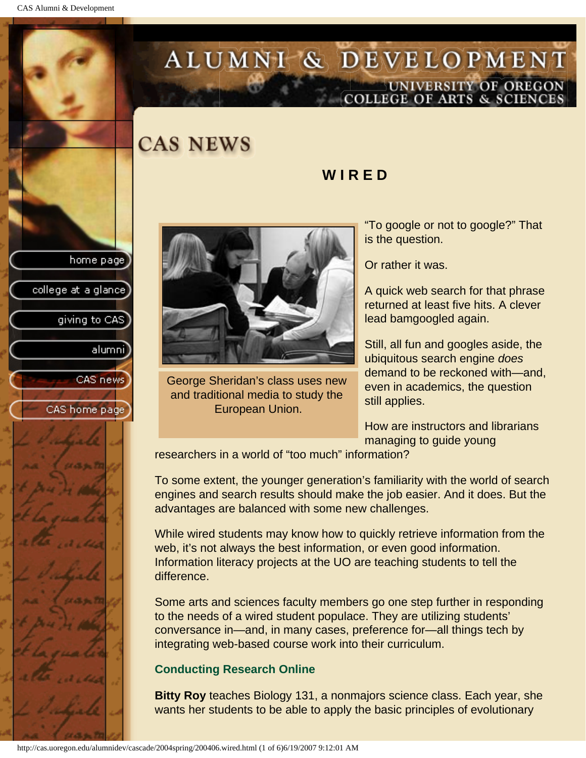<span id="page-2-0"></span>CAS Alumni & Development

## ALUMNI & DEVELOPMENT UNIVERSITY OF OREGON<br>COLLEGE OF ARTS & SCIENCES

**W I R E D**

**CAS NEWS** 

# home page college at a glance giving to CAS alumnil CAS news CAS home page



George Sheridan's class uses new and traditional media to study the European Union.

"To google or not to google?" That is the question.

Or rather it was.

A quick web search for that phrase returned at least five hits. A clever lead bamgoogled again.

Still, all fun and googles aside, the ubiquitous search engine *does* demand to be reckoned with—and, even in academics, the question still applies.

How are instructors and librarians managing to guide young

researchers in a world of "too much" information?

To some extent, the younger generation's familiarity with the world of search engines and search results should make the job easier. And it does. But the advantages are balanced with some new challenges.

While wired students may know how to quickly retrieve information from the web, it's not always the best information, or even good information. Information literacy projects at the UO are teaching students to tell the difference.

Some arts and sciences faculty members go one step further in responding to the needs of a wired student populace. They are utilizing students' conversance in—and, in many cases, preference for—all things tech by integrating web-based course work into their curriculum.

## **Conducting Research Online**

**Bitty Roy** teaches Biology 131, a nonmajors science class. Each year, she wants her students to be able to apply the basic principles of evolutionary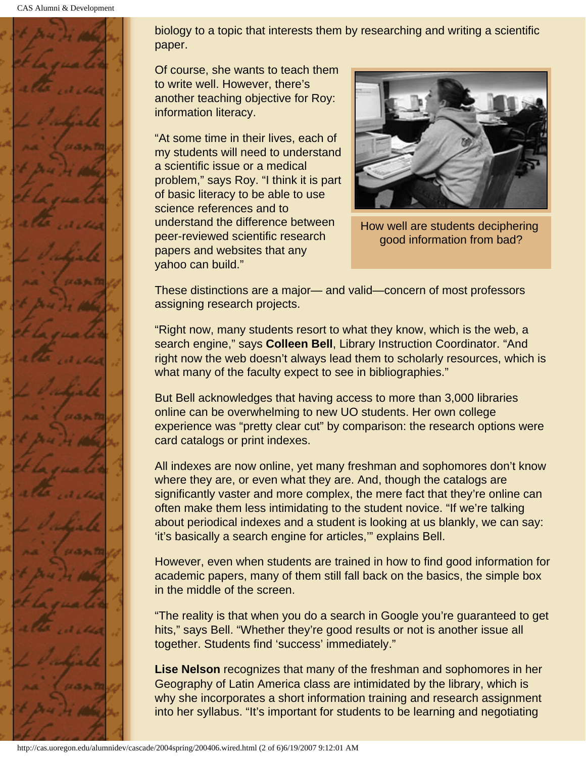CAS Alumni & Development



biology to a topic that interests them by researching and writing a scientific paper.

Of course, she wants to teach them to write well. However, there's another teaching objective for Roy: information literacy.

"At some time in their lives, each of my students will need to understand a scientific issue or a medical problem," says Roy. "I think it is part of basic literacy to be able to use science references and to understand the difference between peer-reviewed scientific research papers and websites that any yahoo can build."



How well are students deciphering good information from bad?

These distinctions are a major— and valid—concern of most professors assigning research projects.

"Right now, many students resort to what they know, which is the web, a search engine," says **Colleen Bell**, Library Instruction Coordinator. "And right now the web doesn't always lead them to scholarly resources, which is what many of the faculty expect to see in bibliographies."

But Bell acknowledges that having access to more than 3,000 libraries online can be overwhelming to new UO students. Her own college experience was "pretty clear cut" by comparison: the research options were card catalogs or print indexes.

All indexes are now online, yet many freshman and sophomores don't know where they are, or even what they are. And, though the catalogs are significantly vaster and more complex, the mere fact that they're online can often make them less intimidating to the student novice. "If we're talking about periodical indexes and a student is looking at us blankly, we can say: 'it's basically a search engine for articles,'" explains Bell.

However, even when students are trained in how to find good information for academic papers, many of them still fall back on the basics, the simple box in the middle of the screen.

"The reality is that when you do a search in Google you're guaranteed to get hits," says Bell. "Whether they're good results or not is another issue all together. Students find 'success' immediately."

**Lise Nelson** recognizes that many of the freshman and sophomores in her Geography of Latin America class are intimidated by the library, which is why she incorporates a short information training and research assignment into her syllabus. "It's important for students to be learning and negotiating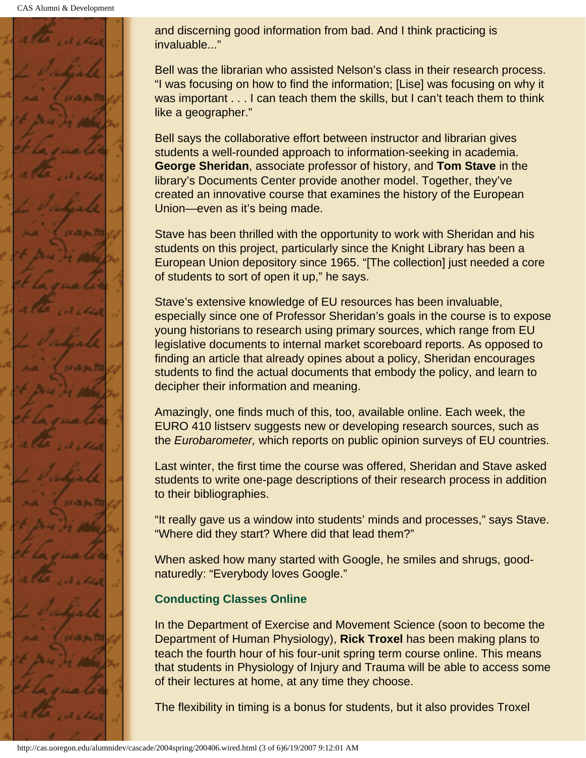CAS Alumni & Development



and discerning good information from bad. And I think practicing is invaluable..."

Bell was the librarian who assisted Nelson's class in their research process. "I was focusing on how to find the information; [Lise] was focusing on why it was important . . . I can teach them the skills, but I can't teach them to think like a geographer."

Bell says the collaborative effort between instructor and librarian gives students a well-rounded approach to information-seeking in academia. **George Sheridan**, associate professor of history, and **Tom Stave** in the library's Documents Center provide another model. Together, they've created an innovative course that examines the history of the European Union—even as it's being made.

Stave has been thrilled with the opportunity to work with Sheridan and his students on this project, particularly since the Knight Library has been a European Union depository since 1965. "[The collection] just needed a core of students to sort of open it up," he says.

Stave's extensive knowledge of EU resources has been invaluable, especially since one of Professor Sheridan's goals in the course is to expose young historians to research using primary sources, which range from EU legislative documents to internal market scoreboard reports. As opposed to finding an article that already opines about a policy, Sheridan encourages students to find the actual documents that embody the policy, and learn to decipher their information and meaning.

Amazingly, one finds much of this, too, available online. Each week, the EURO 410 listserv suggests new or developing research sources, such as the *Eurobarometer,* which reports on public opinion surveys of EU countries.

Last winter, the first time the course was offered, Sheridan and Stave asked students to write one-page descriptions of their research process in addition to their bibliographies.

"It really gave us a window into students' minds and processes," says Stave. "Where did they start? Where did that lead them?"

When asked how many started with Google, he smiles and shrugs, goodnaturedly: "Everybody loves Google."

## **Conducting Classes Online**

In the Department of Exercise and Movement Science (soon to become the Department of Human Physiology), **Rick Troxel** has been making plans to teach the fourth hour of his four-unit spring term course online. This means that students in Physiology of Injury and Trauma will be able to access some of their lectures at home, at any time they choose.

The flexibility in timing is a bonus for students, but it also provides Troxel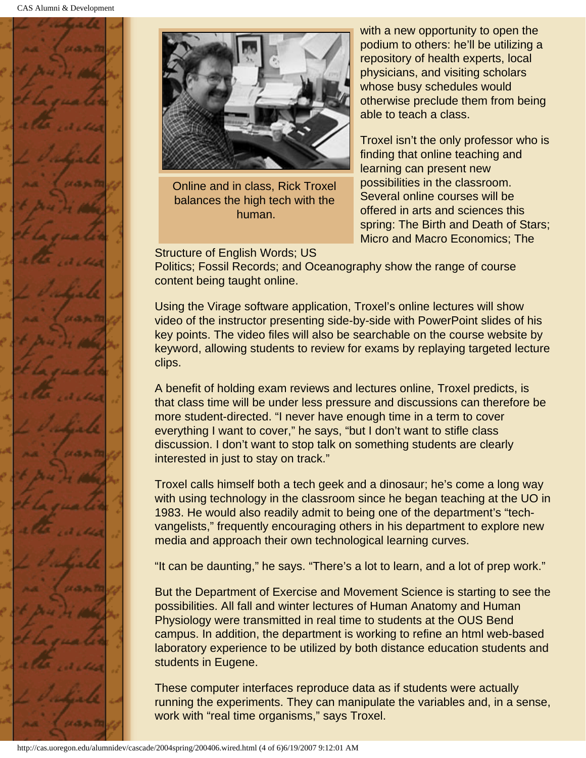



Online and in class, Rick Troxel balances the high tech with the human.

Structure of English Words; US

with a new opportunity to open the podium to others: he'll be utilizing a repository of health experts, local physicians, and visiting scholars whose busy schedules would otherwise preclude them from being able to teach a class.

Troxel isn't the only professor who is finding that online teaching and learning can present new possibilities in the classroom. Several online courses will be offered in arts and sciences this spring: The Birth and Death of Stars; Micro and Macro Economics; The

Politics; Fossil Records; and Oceanography show the range of course content being taught online.

Using the Virage software application, Troxel's online lectures will show video of the instructor presenting side-by-side with PowerPoint slides of his key points. The video files will also be searchable on the course website by keyword, allowing students to review for exams by replaying targeted lecture clips.

A benefit of holding exam reviews and lectures online, Troxel predicts, is that class time will be under less pressure and discussions can therefore be more student-directed. "I never have enough time in a term to cover everything I want to cover," he says, "but I don't want to stifle class discussion. I don't want to stop talk on something students are clearly interested in just to stay on track."

Troxel calls himself both a tech geek and a dinosaur; he's come a long way with using technology in the classroom since he began teaching at the UO in 1983. He would also readily admit to being one of the department's "techvangelists," frequently encouraging others in his department to explore new media and approach their own technological learning curves.

"It can be daunting," he says. "There's a lot to learn, and a lot of prep work."

But the Department of Exercise and Movement Science is starting to see the possibilities. All fall and winter lectures of Human Anatomy and Human Physiology were transmitted in real time to students at the OUS Bend campus. In addition, the department is working to refine an html web-based laboratory experience to be utilized by both distance education students and students in Eugene.

These computer interfaces reproduce data as if students were actually running the experiments. They can manipulate the variables and, in a sense, work with "real time organisms," says Troxel.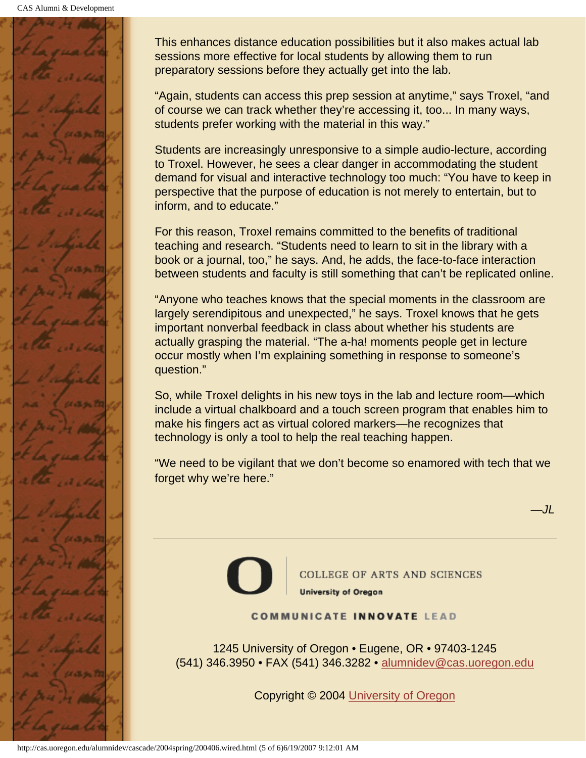

This enhances distance education possibilities but it also makes actual lab sessions more effective for local students by allowing them to run preparatory sessions before they actually get into the lab.

"Again, students can access this prep session at anytime," says Troxel, "and of course we can track whether they're accessing it, too... In many ways, students prefer working with the material in this way."

Students are increasingly unresponsive to a simple audio-lecture, according to Troxel. However, he sees a clear danger in accommodating the student demand for visual and interactive technology too much: "You have to keep in perspective that the purpose of education is not merely to entertain, but to inform, and to educate."

For this reason, Troxel remains committed to the benefits of traditional teaching and research. "Students need to learn to sit in the library with a book or a journal, too," he says. And, he adds, the face-to-face interaction between students and faculty is still something that can't be replicated online.

"Anyone who teaches knows that the special moments in the classroom are largely serendipitous and unexpected," he says. Troxel knows that he gets important nonverbal feedback in class about whether his students are actually grasping the material. "The a-ha! moments people get in lecture occur mostly when I'm explaining something in response to someone's question."

So, while Troxel delights in his new toys in the lab and lecture room—which include a virtual chalkboard and a touch screen program that enables him to make his fingers act as virtual colored markers—he recognizes that technology is only a tool to help the real teaching happen.

"We need to be vigilant that we don't become so enamored with tech that we forget why we're here."



**COLLEGE OF ARTS AND SCIENCES University of Oregon** 

*—JL*

#### **COMMUNICATE INNOVATE LEAD**

1245 University of Oregon • Eugene, OR • 97403-1245 (541) 346.3950 • FAX (541) 346.3282 • alumnidev@cas.uoregon.edu

Copyright © 2004 University of Oregon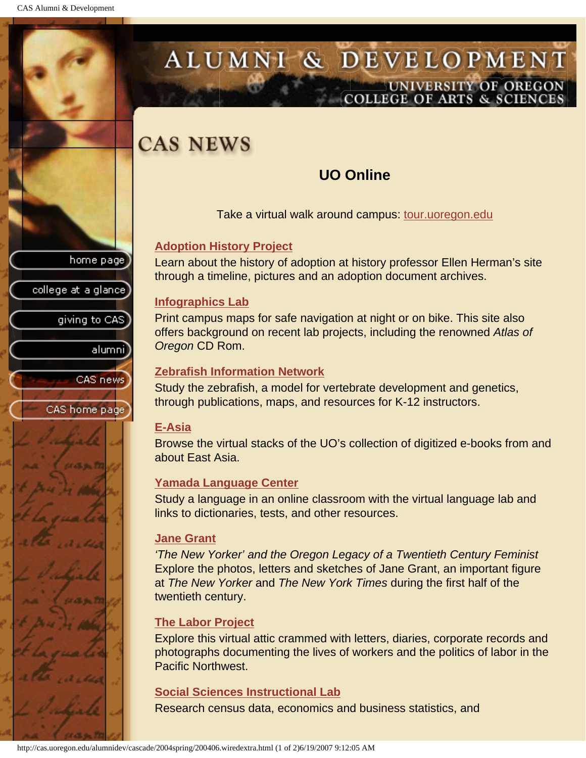## <span id="page-7-0"></span>ALUMNI & DEVELOPMENT UNIVERSITY OF OREGON<br>COLLEGE OF ARTS & SCIENCES

## **CAS NEWS**

## **UO Online**

Take a virtual walk around campus: tour.uoregon.edu

### **Adoption History Project**

Learn about the history of adoption at history professor Ellen Herman's site through a timeline, pictures and an adoption document archives.

#### **Infographics Lab**

Print campus maps for safe navigation at night or on bike. This site also offers background on recent lab projects, including the renowned *Atlas of Oregon* CD Rom.

#### **Zebrafish Information Network**

Study the zebrafish, a model for vertebrate development and genetics, through publications, maps, and resources for K-12 instructors.

#### **E-Asia**

Browse the virtual stacks of the UO's collection of digitized e-books from and about East Asia.

#### **Yamada Language Center**

Study a language in an online classroom with the virtual language lab and links to dictionaries, tests, and other resources.

#### **Jane Grant**

*'The New Yorker' and the Oregon Legacy of a Twentieth Century Feminist* Explore the photos, letters and sketches of Jane Grant, an important figure at *The New Yorker* and *The New York Times* during the first half of the twentieth century.

### **The Labor Project**

Explore this virtual attic crammed with letters, diaries, corporate records and photographs documenting the lives of workers and the politics of labor in the Pacific Northwest.

### **Social Sciences Instructional Lab**

Research census data, economics and business statistics, and



college at a glance

home page



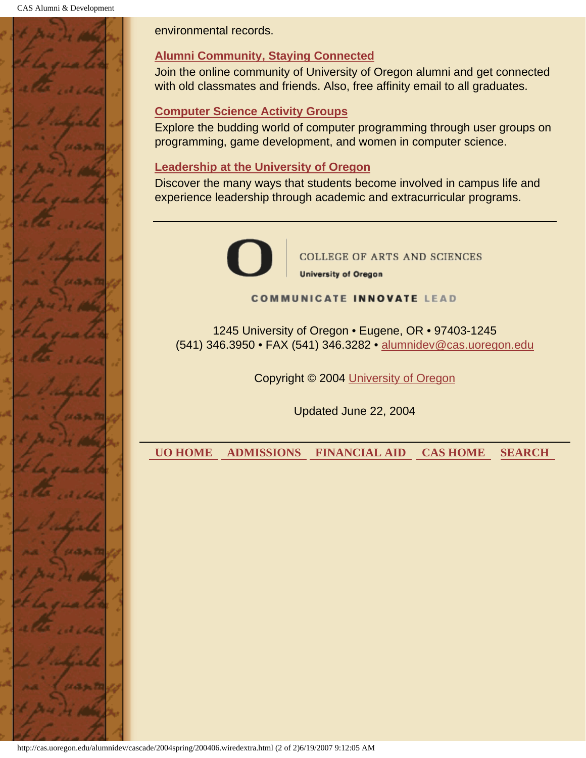CAS Alumni & Development



environmental records.

## **Alumni Community, Staying Connected**

Join the online community of University of Oregon alumni and get connected with old classmates and friends. Also, free affinity email to all graduates.

### **Computer Science Activity Groups**

Explore the budding world of computer programming through user groups on programming, game development, and women in computer science.

### **Leadership at the University of Oregon**

Discover the many ways that students become involved in campus life and experience leadership through academic and extracurricular programs.



**COLLEGE OF ARTS AND SCIENCES University of Oregon** 

**COMMUNICATE INNOVATE LEAD** 

1245 University of Oregon • Eugene, OR • 97403-1245 (541) 346.3950 • FAX (541) 346.3282 • alumnidev@cas.uoregon.edu

Copyright © 2004 University of Oregon

Updated June 22, 2004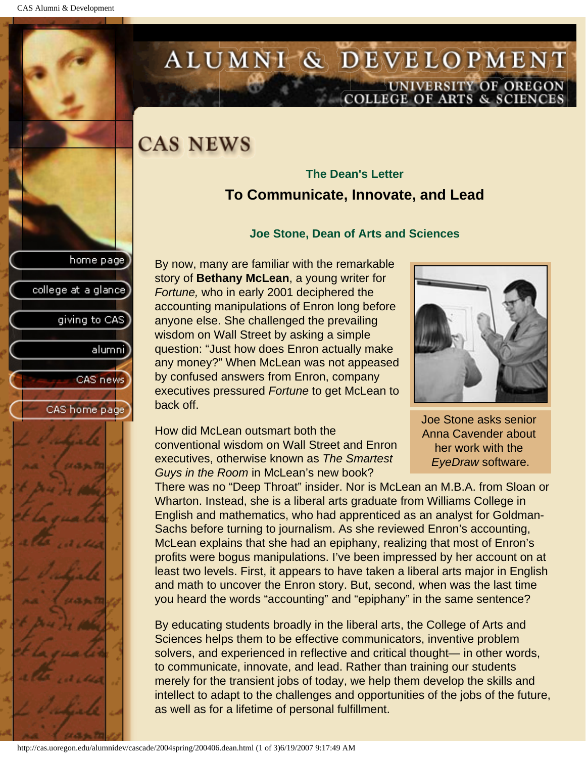giving to CAS

alumni]

CAS news

CAS home page

college at a glance

## <span id="page-9-0"></span>ALUMNI & DEVELOPMENT UNIVERSITY OF OREGON<br>COLLEGE OF ARTS & SCIENCES

## **CAS NEWS**

## **The Dean's Letter To Communicate, Innovate, and Lead**

#### **Joe Stone, Dean of Arts and Sciences**

By now, many are familiar with the remarkable story of **Bethany McLean**, a young writer for *Fortune,* who in early 2001 deciphered the accounting manipulations of Enron long before anyone else. She challenged the prevailing wisdom on Wall Street by asking a simple question: "Just how does Enron actually make any money?" When McLean was not appeased by confused answers from Enron, company executives pressured *Fortune* to get McLean to back off.

How did McLean outsmart both the conventional wisdom on Wall Street and Enron executives, otherwise known as *The Smartest Guys in the Room* in McLean's new book?



Joe Stone asks senior Anna Cavender about her work with the *EyeDraw* software.

There was no "Deep Throat" insider. Nor is McLean an M.B.A. from Sloan or Wharton. Instead, she is a liberal arts graduate from Williams College in English and mathematics, who had apprenticed as an analyst for Goldman-Sachs before turning to journalism. As she reviewed Enron's accounting, McLean explains that she had an epiphany, realizing that most of Enron's profits were bogus manipulations. I've been impressed by her account on at least two levels. First, it appears to have taken a liberal arts major in English and math to uncover the Enron story. But, second, when was the last time you heard the words "accounting" and "epiphany" in the same sentence?

By educating students broadly in the liberal arts, the College of Arts and Sciences helps them to be effective communicators, inventive problem solvers, and experienced in reflective and critical thought— in other words, to communicate, innovate, and lead. Rather than training our students merely for the transient jobs of today, we help them develop the skills and intellect to adapt to the challenges and opportunities of the jobs of the future, as well as for a lifetime of personal fulfillment.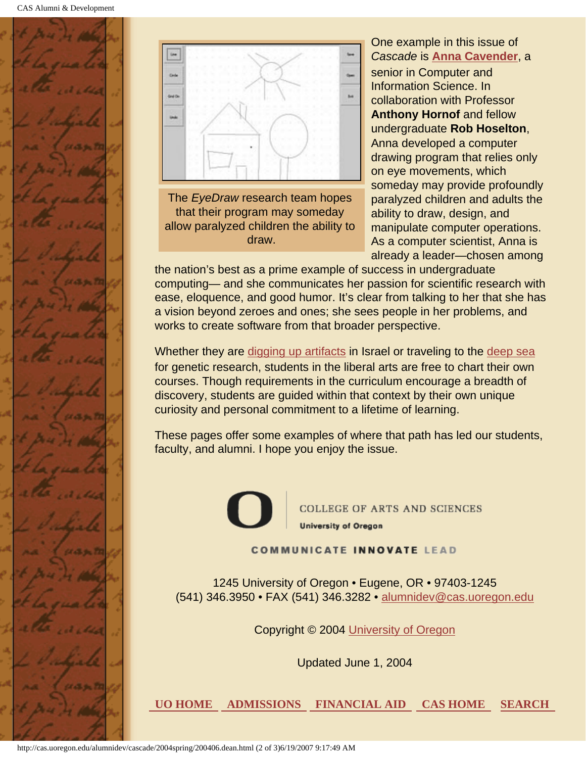



The *EyeDraw* research team hopes that their program may someday allow paralyzed children the ability to draw.

One example in this issue of *Cascade* is **[Anna Cavender](#page-11-0)**, a senior in Computer and Information Science. In collaboration with Professor **Anthony Hornof** and fellow undergraduate **Rob Hoselton**, Anna developed a computer drawing program that relies only on eye movements, which someday may provide profoundly paralyzed children and adults the ability to draw, design, and manipulate computer operations. As a computer scientist, Anna is already a leader—chosen among

the nation's best as a prime example of success in undergraduate computing— and she communicates her passion for scientific research with ease, eloquence, and good humor. It's clear from talking to her that she has a vision beyond zeroes and ones; she sees people in her problems, and works to create software from that broader perspective.

Whether they are [digging up artifacts](#page-18-0) in Israel or traveling to the [deep sea](#page-35-0) for genetic research, students in the liberal arts are free to chart their own courses. Though requirements in the curriculum encourage a breadth of discovery, students are guided within that context by their own unique curiosity and personal commitment to a lifetime of learning.

These pages offer some examples of where that path has led our students, faculty, and alumni. I hope you enjoy the issue.

**COLLEGE OF ARTS AND SCIENCES University of Oregon** 

**COMMUNICATE INNOVATE LEAD** 

1245 University of Oregon • Eugene, OR • 97403-1245 (541) 346.3950 • FAX (541) 346.3282 • alumnidev@cas.uoregon.edu

Copyright © 2004 University of Oregon

Updated June 1, 2004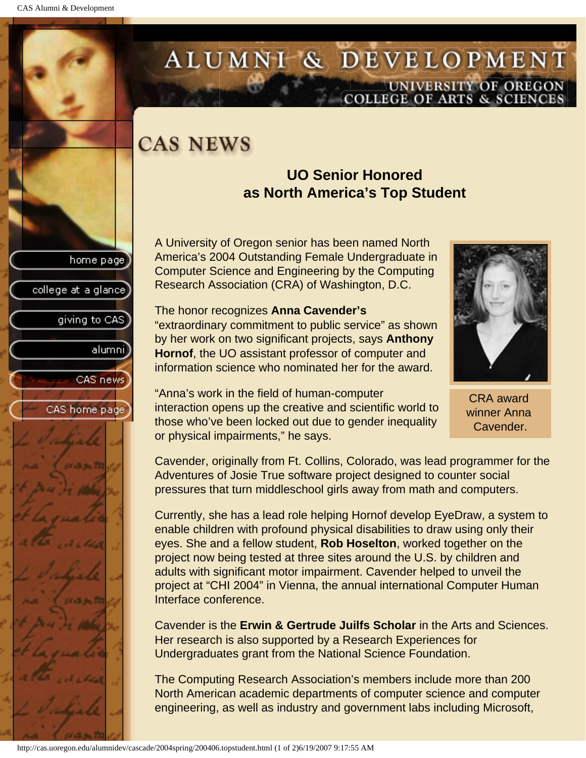college at a glance

giving to CAS

alumnil

CAS news

CAS home page

## <span id="page-11-0"></span>ALUMNI & DEVELOPMENT UNIVERSITY OF OREGON<br>COLLEGE OF ARTS & SCIENCES

## **CAS NEWS**

## **UO Senior Honored as North America's Top Student**

A University of Oregon senior has been named North America's 2004 Outstanding Female Undergraduate in Computer Science and Engineering by the Computing Research Association (CRA) of Washington, D.C.

The honor recognizes **Anna Cavender's** "extraordinary commitment to public service" as shown by her work on two significant projects, says **Anthony Hornof**, the UO assistant professor of computer and information science who nominated her for the award.

"Anna's work in the field of human-computer interaction opens up the creative and scientific world to those who've been locked out due to gender inequality or physical impairments," he says.

Cavender, originally from Ft. Collins, Colorado, was lead programmer for the Adventures of Josie True software project designed to counter social pressures that turn middleschool girls away from math and computers.

Currently, she has a lead role helping Hornof develop EyeDraw, a system to enable children with profound physical disabilities to draw using only their eyes. She and a fellow student, **Rob Hoselton**, worked together on the project now being tested at three sites around the U.S. by children and adults with significant motor impairment. Cavender helped to unveil the project at "CHI 2004" in Vienna, the annual international Computer Human Interface conference.

Cavender is the **Erwin & Gertrude Juilfs Scholar** in the Arts and Sciences. Her research is also supported by a Research Experiences for Undergraduates grant from the National Science Foundation.

The Computing Research Association's members include more than 200 North American academic departments of computer science and computer engineering, as well as industry and government labs including Microsoft,



winner Anna



Cavender.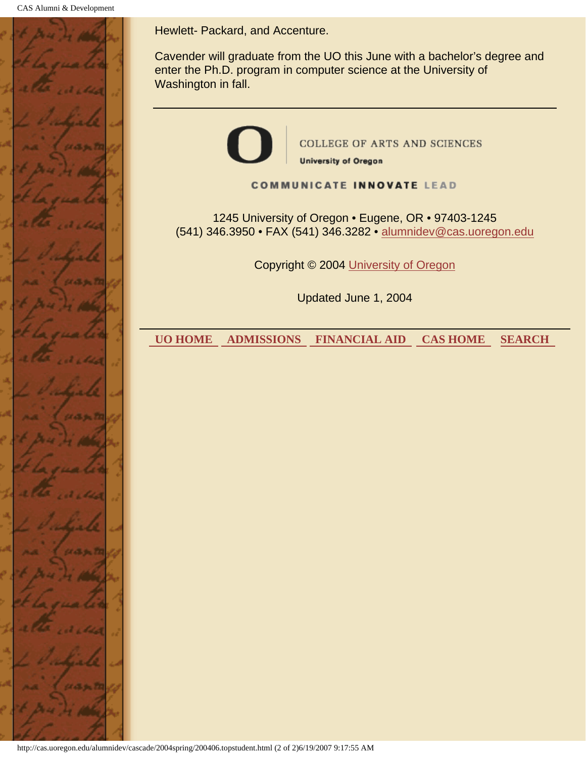CAS Alumni & Development



Hewlett- Packard, and Accenture.

Cavender will graduate from the UO this June with a bachelor's degree and enter the Ph.D. program in computer science at the University of Washington in fall.



Copyright © 2004 University of Oregon

Updated June 1, 2004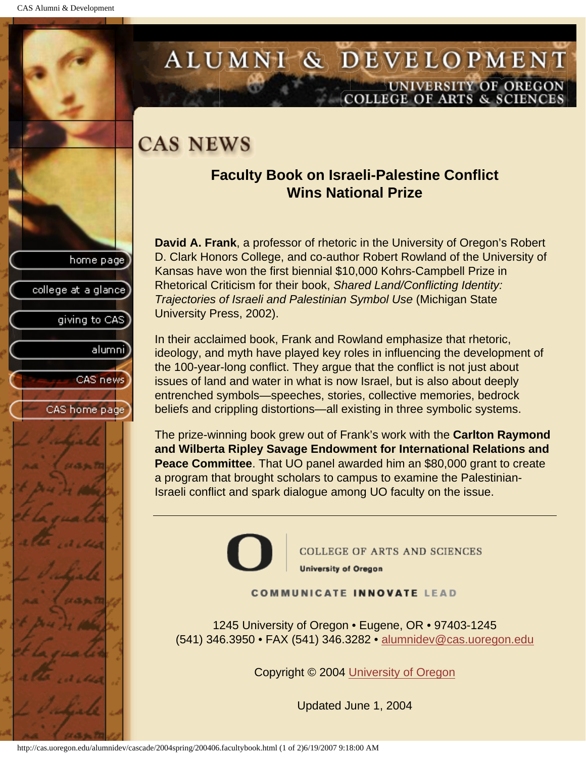college at a glance

giving to CAS

alumnil

CAS news

CAS home page

## <span id="page-13-0"></span>ALUMNI & DEVELOPMENT UNIVERSITY OF OREGON **COLLEGE OF ARTS & SCIENCE**

## **CAS NEWS**

## **Faculty Book on Israeli-Palestine Conflict Wins National Prize**

**David A. Frank**, a professor of rhetoric in the University of Oregon's Robert D. Clark Honors College, and co-author Robert Rowland of the University of Kansas have won the first biennial \$10,000 Kohrs-Campbell Prize in Rhetorical Criticism for their book, *Shared Land/Conflicting Identity: Trajectories of Israeli and Palestinian Symbol Use* (Michigan State University Press, 2002).

In their acclaimed book, Frank and Rowland emphasize that rhetoric, ideology, and myth have played key roles in influencing the development of the 100-year-long conflict. They argue that the conflict is not just about issues of land and water in what is now Israel, but is also about deeply entrenched symbols—speeches, stories, collective memories, bedrock beliefs and crippling distortions—all existing in three symbolic systems.

The prize-winning book grew out of Frank's work with the **Carlton Raymond and Wilberta Ripley Savage Endowment for International Relations and Peace Committee**. That UO panel awarded him an \$80,000 grant to create a program that brought scholars to campus to examine the Palestinian-Israeli conflict and spark dialogue among UO faculty on the issue.



**COLLEGE OF ARTS AND SCIENCES University of Oregon** 

#### **COMMUNICATE INNOVATE LEAD**

1245 University of Oregon • Eugene, OR • 97403-1245 (541) 346.3950 • FAX (541) 346.3282 • alumnidev@cas.uoregon.edu

Copyright © 2004 University of Oregon

Updated June 1, 2004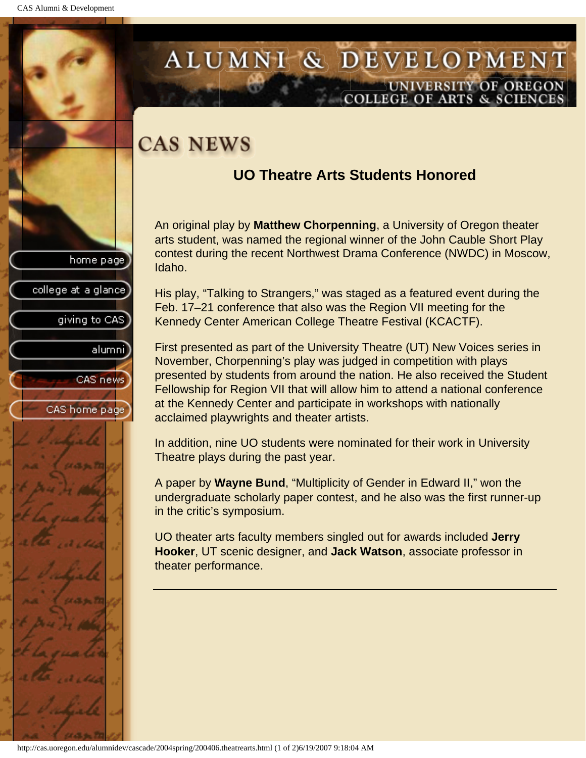college at a glance]

giving to CAS

alumni

CAS news

CAS home page

## <span id="page-14-0"></span>ALUMNI & DEVELOPMENT UNIVERSITY OF OREGON **COLLEGE OF ARTS & SCIENCE**

## **CAS NEWS**

## **UO Theatre Arts Students Honored**

An original play by **Matthew Chorpenning**, a University of Oregon theater arts student, was named the regional winner of the John Cauble Short Play contest during the recent Northwest Drama Conference (NWDC) in Moscow, Idaho.

His play, "Talking to Strangers," was staged as a featured event during the Feb. 17–21 conference that also was the Region VII meeting for the Kennedy Center American College Theatre Festival (KCACTF).

First presented as part of the University Theatre (UT) New Voices series in November, Chorpenning's play was judged in competition with plays presented by students from around the nation. He also received the Student Fellowship for Region VII that will allow him to attend a national conference at the Kennedy Center and participate in workshops with nationally acclaimed playwrights and theater artists.

In addition, nine UO students were nominated for their work in University Theatre plays during the past year.

A paper by **Wayne Bund**, "Multiplicity of Gender in Edward II," won the undergraduate scholarly paper contest, and he also was the first runner-up in the critic's symposium.

UO theater arts faculty members singled out for awards included **Jerry Hooker**, UT scenic designer, and **Jack Watson**, associate professor in theater performance.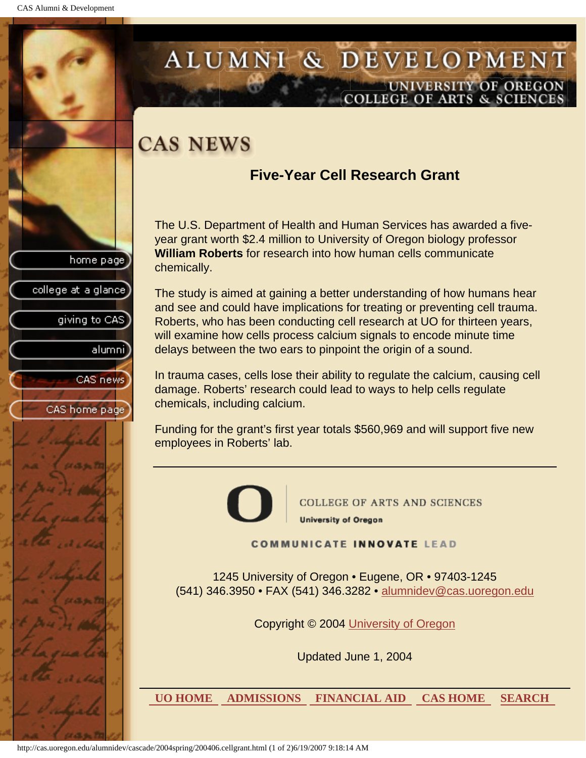college at a glance

giving to CAS

alumnil

CAS news

CAS home page

## <span id="page-15-0"></span>ALUMNI & DEVELOPMENT UNIVERSITY OF OREGON<br>COLLEGE OF ARTS & SCIENCES

## **CAS NEWS**

## **Five-Year Cell Research Grant**

The U.S. Department of Health and Human Services has awarded a fiveyear grant worth \$2.4 million to University of Oregon biology professor **William Roberts** for research into how human cells communicate chemically.

The study is aimed at gaining a better understanding of how humans hear and see and could have implications for treating or preventing cell trauma. Roberts, who has been conducting cell research at UO for thirteen years, will examine how cells process calcium signals to encode minute time delays between the two ears to pinpoint the origin of a sound.

In trauma cases, cells lose their ability to regulate the calcium, causing cell damage. Roberts' research could lead to ways to help cells regulate chemicals, including calcium.

Funding for the grant's first year totals \$560,969 and will support five new employees in Roberts' lab.



**COLLEGE OF ARTS AND SCIENCES University of Oregon** 

**COMMUNICATE INNOVATE LEAD** 

1245 University of Oregon • Eugene, OR • 97403-1245 (541) 346.3950 • FAX (541) 346.3282 • alumnidev@cas.uoregon.edu

Copyright © 2004 University of Oregon

Updated June 1, 2004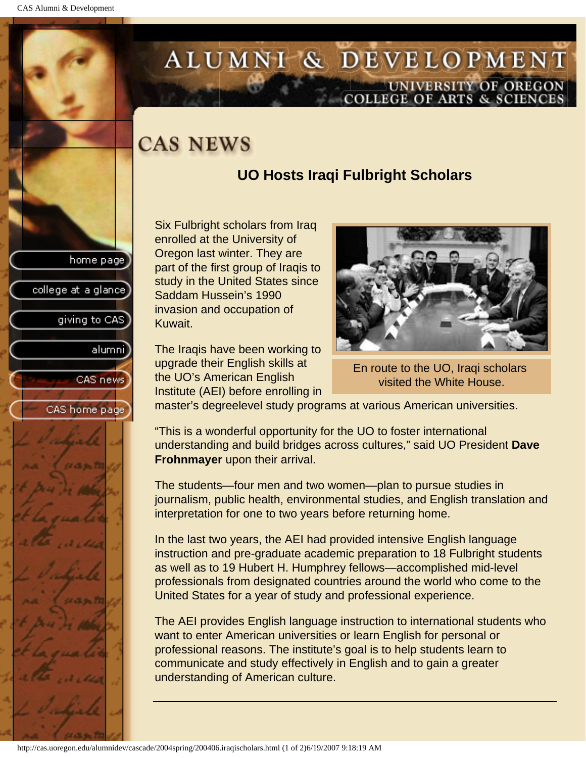college at a glance

giving to CAS

alumni

CAS news

CAS home page

## <span id="page-16-0"></span>ALUMNI & DEVELOPMENT UNIVERSITY OF OREGON<br>COLLEGE OF ARTS & SCIENCES

## **CAS NEWS**

## **UO Hosts Iraqi Fulbright Scholars**

Six Fulbright scholars from Iraq enrolled at the University of Oregon last winter. They are part of the first group of Iraqis to study in the United States since Saddam Hussein's 1990 invasion and occupation of Kuwait.

The Iraqis have been working to upgrade their English skills at the UO's American English Institute (AEI) before enrolling in



En route to the UO, Iraqi scholars visited the White House.

master's degreelevel study programs at various American universities.

"This is a wonderful opportunity for the UO to foster international understanding and build bridges across cultures," said UO President **Dave Frohnmayer** upon their arrival.

The students—four men and two women—plan to pursue studies in journalism, public health, environmental studies, and English translation and interpretation for one to two years before returning home.

In the last two years, the AEI had provided intensive English language instruction and pre-graduate academic preparation to 18 Fulbright students as well as to 19 Hubert H. Humphrey fellows—accomplished mid-level professionals from designated countries around the world who come to the United States for a year of study and professional experience.

The AEI provides English language instruction to international students who want to enter American universities or learn English for personal or professional reasons. The institute's goal is to help students learn to communicate and study effectively in English and to gain a greater understanding of American culture.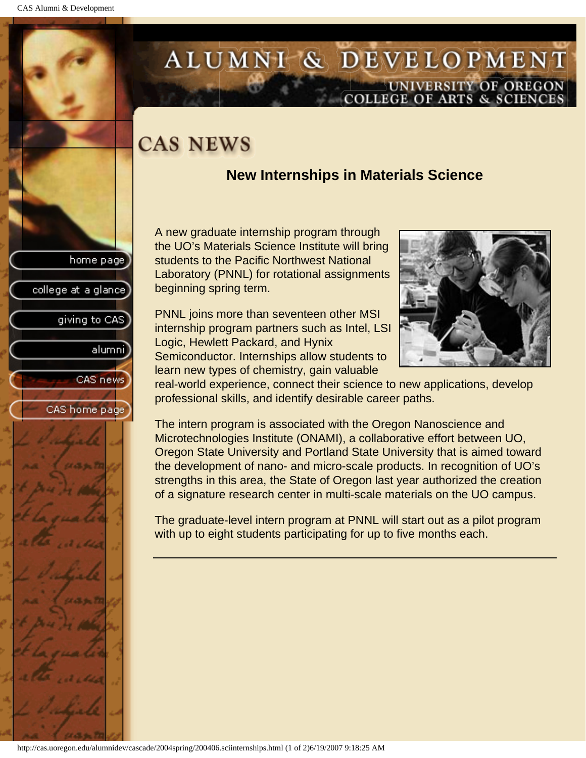## <span id="page-17-0"></span>ALUMNI & DEVELOPMENT UNIVERSITY OF OREGON<br>COLLEGE OF ARTS & SCIENCES

## **CAS NEWS**

## **New Internships in Materials Science**

A new graduate internship program through the UO's Materials Science Institute will bring students to the Pacific Northwest National Laboratory (PNNL) for rotational assignments beginning spring term.

PNNL joins more than seventeen other MSI internship program partners such as Intel, LSI Logic, Hewlett Packard, and Hynix Semiconductor. Internships allow students to learn new types of chemistry, gain valuable



real-world experience, connect their science to new applications, develop professional skills, and identify desirable career paths.

The intern program is associated with the Oregon Nanoscience and Microtechnologies Institute (ONAMI), a collaborative effort between UO, Oregon State University and Portland State University that is aimed toward the development of nano- and micro-scale products. In recognition of UO's strengths in this area, the State of Oregon last year authorized the creation of a signature research center in multi-scale materials on the UO campus.

The graduate-level intern program at PNNL will start out as a pilot program with up to eight students participating for up to five months each.



home page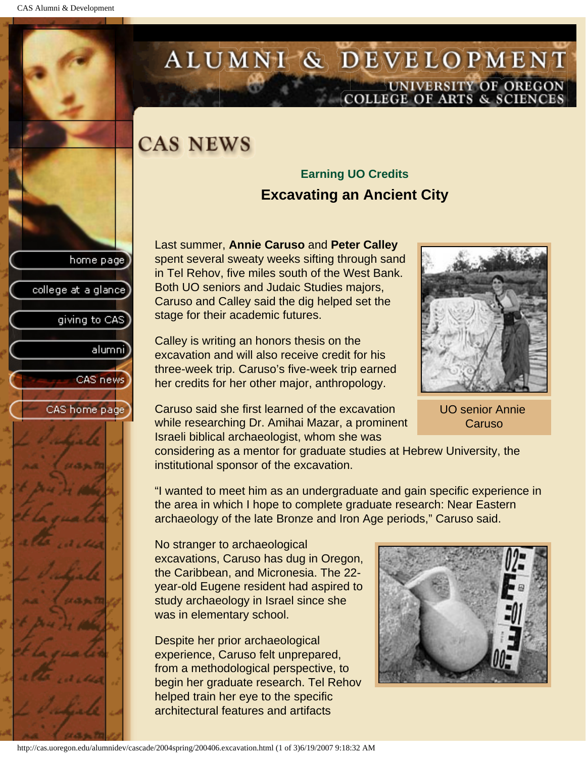college at a glance

giving to CAS

alumnil

CAS news

CAS home page

## <span id="page-18-0"></span>ALUMNI & DEVELOPMENT UNIVERSITY OF OREGON<br>COLLEGE OF ARTS & SCIENCES

## **CAS NEWS**

## **Earning UO Credits Excavating an Ancient City**

Last summer, **Annie Caruso** and **Peter Calley** spent several sweaty weeks sifting through sand in Tel Rehov, five miles south of the West Bank. Both UO seniors and Judaic Studies majors, Caruso and Calley said the dig helped set the stage for their academic futures.

Calley is writing an honors thesis on the excavation and will also receive credit for his three-week trip. Caruso's five-week trip earned her credits for her other major, anthropology.

Caruso said she first learned of the excavation while researching Dr. Amihai Mazar, a prominent Israeli biblical archaeologist, whom she was



UO senior Annie Caruso

considering as a mentor for graduate studies at Hebrew University, the institutional sponsor of the excavation.

"I wanted to meet him as an undergraduate and gain specific experience in the area in which I hope to complete graduate research: Near Eastern archaeology of the late Bronze and Iron Age periods," Caruso said.

No stranger to archaeological excavations, Caruso has dug in Oregon, the Caribbean, and Micronesia. The 22 year-old Eugene resident had aspired to study archaeology in Israel since she was in elementary school.

Despite her prior archaeological experience, Caruso felt unprepared, from a methodological perspective, to begin her graduate research. Tel Rehov helped train her eye to the specific architectural features and artifacts

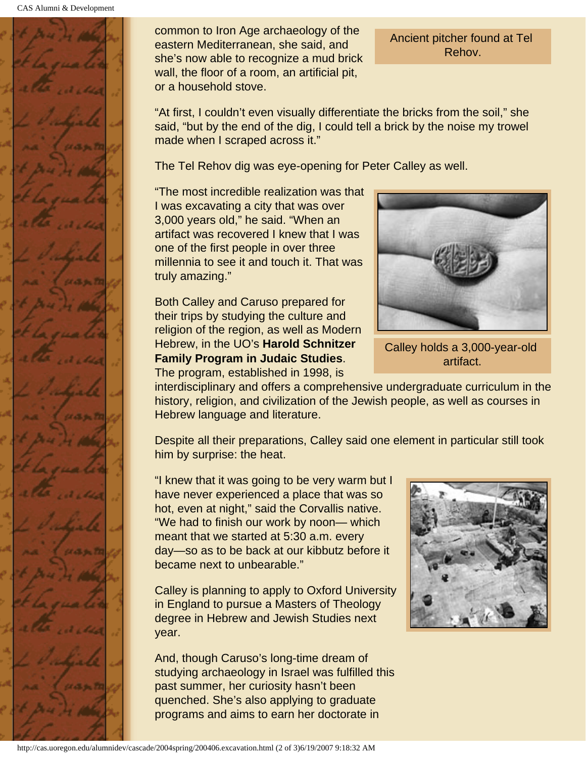

common to Iron Age archaeology of the eastern Mediterranean, she said, and she's now able to recognize a mud brick wall, the floor of a room, an artificial pit, or a household stove.

Ancient pitcher found at Tel Rehov.

"At first, I couldn't even visually differentiate the bricks from the soil," she said, "but by the end of the dig, I could tell a brick by the noise my trowel made when I scraped across it."

The Tel Rehov dig was eye-opening for Peter Calley as well.

"The most incredible realization was that I was excavating a city that was over 3,000 years old," he said. "When an artifact was recovered I knew that I was one of the first people in over three millennia to see it and touch it. That was truly amazing."

Both Calley and Caruso prepared for their trips by studying the culture and religion of the region, as well as Modern Hebrew, in the UO's **Harold Schnitzer Family Program in Judaic Studies**. The program, established in 1998, is



Calley holds a 3,000-year-old artifact.

interdisciplinary and offers a comprehensive undergraduate curriculum in the history, religion, and civilization of the Jewish people, as well as courses in Hebrew language and literature.

Despite all their preparations, Calley said one element in particular still took him by surprise: the heat.

"I knew that it was going to be very warm but I have never experienced a place that was so hot, even at night," said the Corvallis native. "We had to finish our work by noon— which meant that we started at 5:30 a.m. every day—so as to be back at our kibbutz before it became next to unbearable."

Calley is planning to apply to Oxford University in England to pursue a Masters of Theology degree in Hebrew and Jewish Studies next year.

And, though Caruso's long-time dream of studying archaeology in Israel was fulfilled this past summer, her curiosity hasn't been quenched. She's also applying to graduate programs and aims to earn her doctorate in

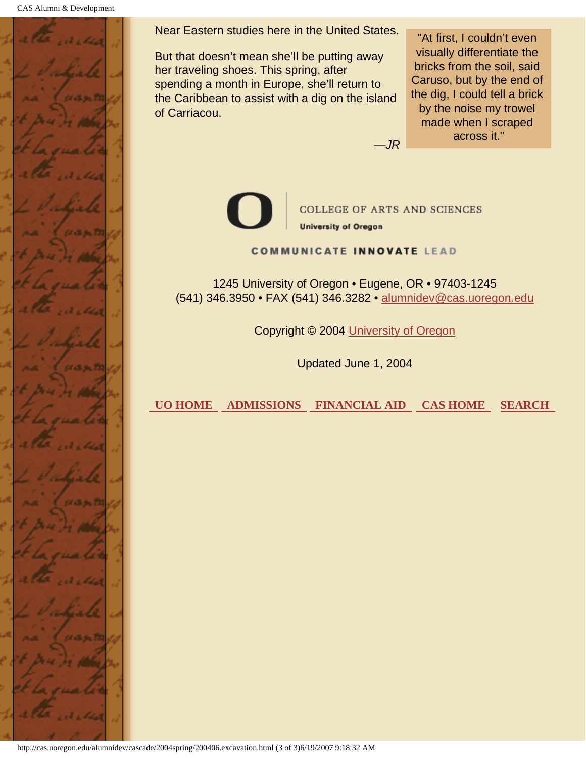CAS Alumni & Development



Near Eastern studies here in the United States.

But that doesn't mean she'll be putting away her traveling shoes. This spring, after spending a month in Europe, she'll return to the Caribbean to assist with a dig on the island of Carriacou.

"At first, I couldn't even visually differentiate the bricks from the soil, said Caruso, but by the end of the dig, I could tell a brick by the noise my trowel made when I scraped across it."

*—JR*



**COLLEGE OF ARTS AND SCIENCES University of Oregon** 

**COMMUNICATE INNOVATE LEAD** 

1245 University of Oregon • Eugene, OR • 97403-1245 (541) 346.3950 • FAX (541) 346.3282 • alumnidev@cas.uoregon.edu

Copyright © 2004 University of Oregon

Updated June 1, 2004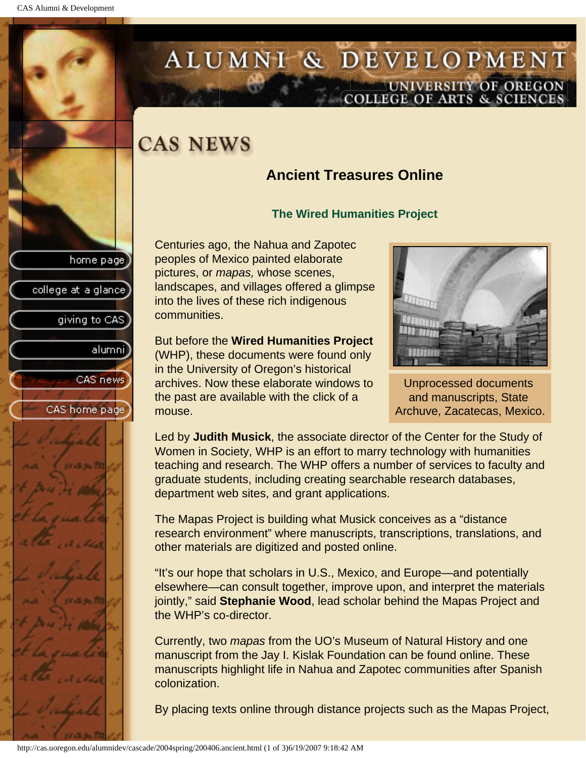college at a glance

giving to CAS

alumnil

CAS news

CAS home page

## <span id="page-21-0"></span>ALUMNI & DEVELOPMENT UNIVERSITY OF OREGON<br>COLLEGE OF ARTS & SCIENCES

## **CAS NEWS**

## **Ancient Treasures Online**

### **The Wired Humanities Project**

Centuries ago, the Nahua and Zapotec peoples of Mexico painted elaborate pictures, or *mapas,* whose scenes, landscapes, and villages offered a glimpse into the lives of these rich indigenous communities.

But before the **Wired Humanities Project** (WHP), these documents were found only in the University of Oregon's historical archives. Now these elaborate windows to the past are available with the click of a mouse.



Unprocessed documents and manuscripts, State Archuve, Zacatecas, Mexico.

Led by **Judith Musick**, the associate director of the Center for the Study of Women in Society, WHP is an effort to marry technology with humanities teaching and research. The WHP offers a number of services to faculty and graduate students, including creating searchable research databases, department web sites, and grant applications.

The Mapas Project is building what Musick conceives as a "distance research environment" where manuscripts, transcriptions, translations, and other materials are digitized and posted online.

"It's our hope that scholars in U.S., Mexico, and Europe—and potentially elsewhere—can consult together, improve upon, and interpret the materials jointly," said **Stephanie Wood**, lead scholar behind the Mapas Project and the WHP's co-director.

Currently, two *mapas* from the UO's Museum of Natural History and one manuscript from the Jay I. Kislak Foundation can be found online. These manuscripts highlight life in Nahua and Zapotec communities after Spanish colonization.

By placing texts online through distance projects such as the Mapas Project,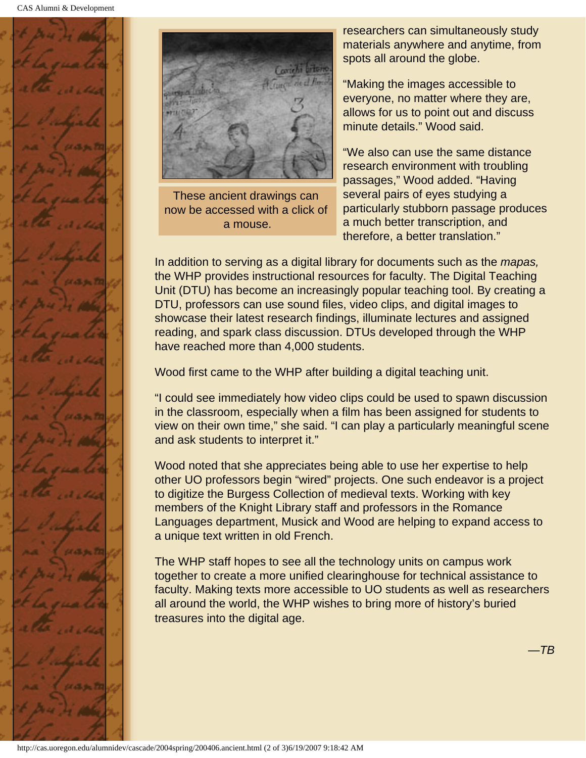



These ancient drawings can now be accessed with a click of a mouse.

researchers can simultaneously study materials anywhere and anytime, from spots all around the globe.

"Making the images accessible to everyone, no matter where they are, allows for us to point out and discuss minute details." Wood said.

"We also can use the same distance research environment with troubling passages," Wood added. "Having several pairs of eyes studying a particularly stubborn passage produces a much better transcription, and therefore, a better translation."

In addition to serving as a digital library for documents such as the *mapas,* the WHP provides instructional resources for faculty. The Digital Teaching Unit (DTU) has become an increasingly popular teaching tool. By creating a DTU, professors can use sound files, video clips, and digital images to showcase their latest research findings, illuminate lectures and assigned reading, and spark class discussion. DTUs developed through the WHP have reached more than 4,000 students.

Wood first came to the WHP after building a digital teaching unit.

"I could see immediately how video clips could be used to spawn discussion in the classroom, especially when a film has been assigned for students to view on their own time," she said. "I can play a particularly meaningful scene and ask students to interpret it."

Wood noted that she appreciates being able to use her expertise to help other UO professors begin "wired" projects. One such endeavor is a project to digitize the Burgess Collection of medieval texts. Working with key members of the Knight Library staff and professors in the Romance Languages department, Musick and Wood are helping to expand access to a unique text written in old French.

The WHP staff hopes to see all the technology units on campus work together to create a more unified clearinghouse for technical assistance to faculty. Making texts more accessible to UO students as well as researchers all around the world, the WHP wishes to bring more of history's buried treasures into the digital age.

*—TB*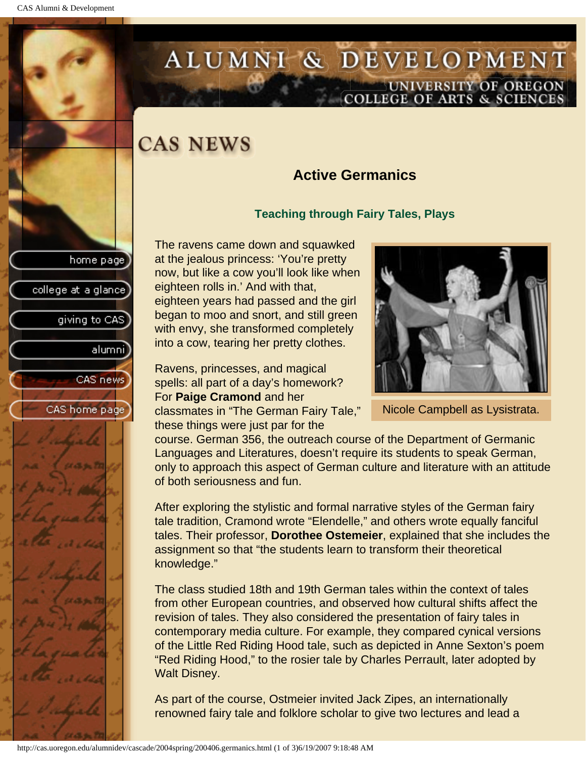## <span id="page-23-0"></span>ALUMNI & DEVELOPMENT UNIVERSITY OF OREGON<br>COLLEGE OF ARTS & SCIENCES

## **CAS NEWS**

## **Active Germanics**

### **Teaching through Fairy Tales, Plays**

The ravens came down and squawked at the jealous princess: 'You're pretty now, but like a cow you'll look like when eighteen rolls in.' And with that, eighteen years had passed and the girl began to moo and snort, and still green with envy, she transformed completely into a cow, tearing her pretty clothes.

Ravens, princesses, and magical spells: all part of a day's homework? For **Paige Cramond** and her classmates in "The German Fairy Tale," these things were just par for the



Nicole Campbell as Lysistrata.

course. German 356, the outreach course of the Department of Germanic Languages and Literatures, doesn't require its students to speak German, only to approach this aspect of German culture and literature with an attitude of both seriousness and fun.

After exploring the stylistic and formal narrative styles of the German fairy tale tradition, Cramond wrote "Elendelle," and others wrote equally fanciful tales. Their professor, **Dorothee Ostemeier**, explained that she includes the assignment so that "the students learn to transform their theoretical knowledge."

The class studied 18th and 19th German tales within the context of tales from other European countries, and observed how cultural shifts affect the revision of tales. They also considered the presentation of fairy tales in contemporary media culture. For example, they compared cynical versions of the Little Red Riding Hood tale, such as depicted in Anne Sexton's poem "Red Riding Hood," to the rosier tale by Charles Perrault, later adopted by Walt Disney.

As part of the course, Ostmeier invited Jack Zipes, an internationally renowned fairy tale and folklore scholar to give two lectures and lead a

```
college at a glance
   giving to CAS
         alumni
      CAS news
CAS home page
```
home page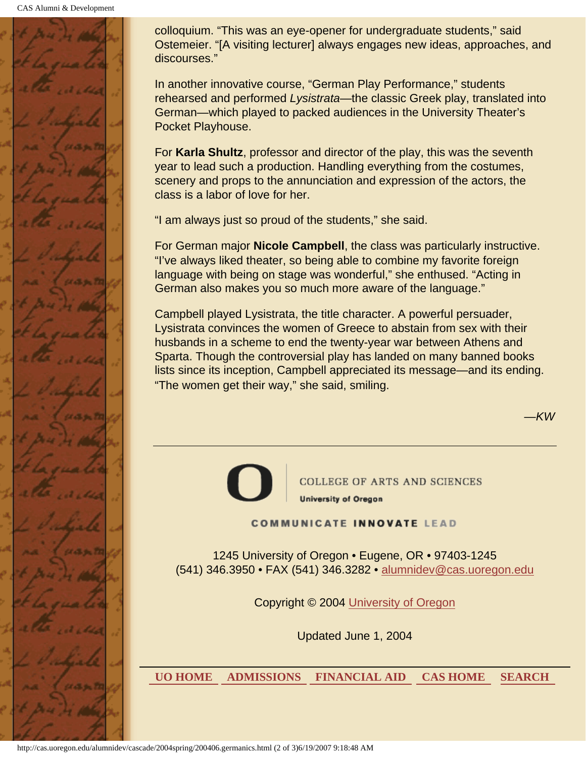

colloquium. "This was an eye-opener for undergraduate students," said Ostemeier. "[A visiting lecturer] always engages new ideas, approaches, and discourses."

In another innovative course, "German Play Performance," students rehearsed and performed *Lysistrata*—the classic Greek play, translated into German—which played to packed audiences in the University Theater's Pocket Playhouse.

For **Karla Shultz**, professor and director of the play, this was the seventh year to lead such a production. Handling everything from the costumes, scenery and props to the annunciation and expression of the actors, the class is a labor of love for her.

"I am always just so proud of the students," she said.

For German major **Nicole Campbell**, the class was particularly instructive. "I've always liked theater, so being able to combine my favorite foreign language with being on stage was wonderful," she enthused. "Acting in German also makes you so much more aware of the language."

Campbell played Lysistrata, the title character. A powerful persuader, Lysistrata convinces the women of Greece to abstain from sex with their husbands in a scheme to end the twenty-year war between Athens and Sparta. Though the controversial play has landed on many banned books lists since its inception, Campbell appreciated its message—and its ending. "The women get their way," she said, smiling.

*—KW*



**COLLEGE OF ARTS AND SCIENCES University of Oregon** 

**COMMUNICATE INNOVATE LEAD** 

1245 University of Oregon • Eugene, OR • 97403-1245 (541) 346.3950 • FAX (541) 346.3282 • alumnidev@cas.uoregon.edu

Copyright © 2004 University of Oregon

Updated June 1, 2004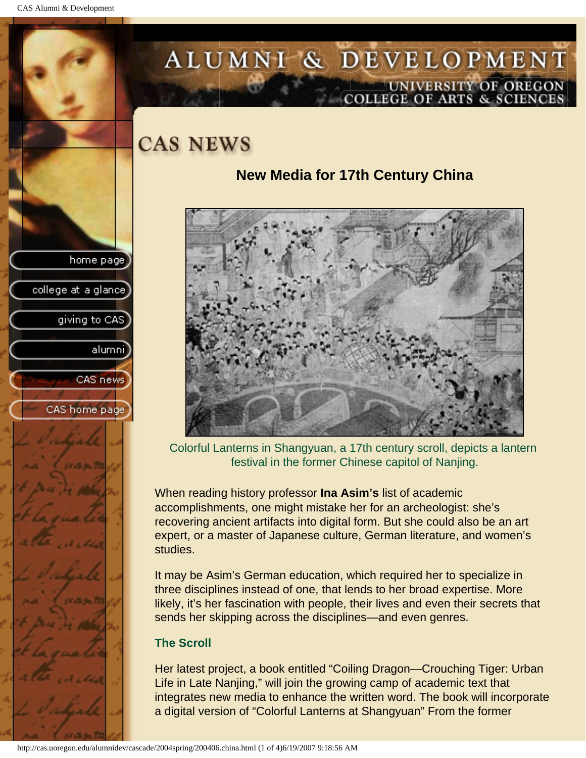college at a glance

giving to CAS

alumni

CAS news

CAS home page

## <span id="page-25-0"></span>ALUMNI & DEVELOPMENT UNIVERSITY OF OREGON<br>COLLEGE OF ARTS & SCIENCES

## **CAS NEWS**

## **New Media for 17th Century China**



Colorful Lanterns in Shangyuan, a 17th century scroll, depicts a lantern festival in the former Chinese capitol of Nanjing.

When reading history professor **Ina Asim's** list of academic accomplishments, one might mistake her for an archeologist: she's recovering ancient artifacts into digital form. But she could also be an art expert, or a master of Japanese culture, German literature, and women's studies.

It may be Asim's German education, which required her to specialize in three disciplines instead of one, that lends to her broad expertise. More likely, it's her fascination with people, their lives and even their secrets that sends her skipping across the disciplines—and even genres.

### **The Scroll**

Her latest project, a book entitled "Coiling Dragon—Crouching Tiger: Urban Life in Late Nanjing," will join the growing camp of academic text that integrates new media to enhance the written word. The book will incorporate a digital version of "Colorful Lanterns at Shangyuan" From the former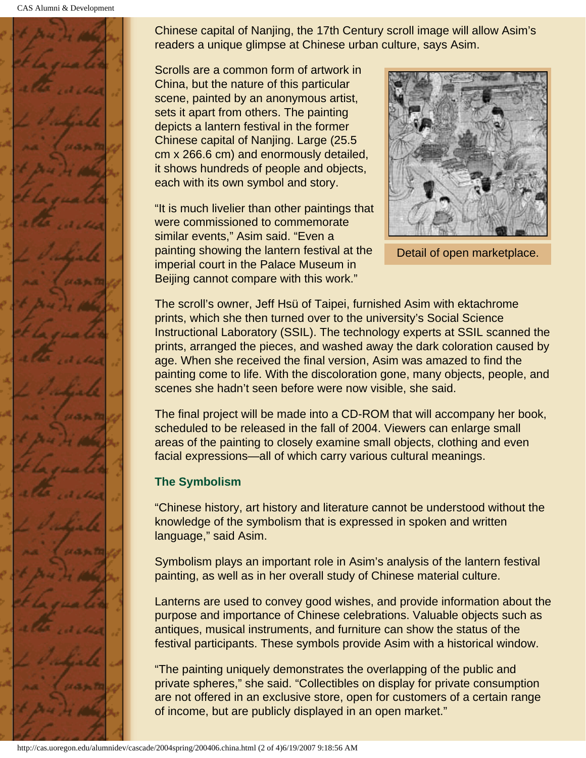CAS Alumni & Development



Chinese capital of Nanjing, the 17th Century scroll image will allow Asim's readers a unique glimpse at Chinese urban culture, says Asim.

Scrolls are a common form of artwork in China, but the nature of this particular scene, painted by an anonymous artist, sets it apart from others. The painting depicts a lantern festival in the former Chinese capital of Nanjing. Large (25.5 cm x 266.6 cm) and enormously detailed, it shows hundreds of people and objects, each with its own symbol and story.

"It is much livelier than other paintings that were commissioned to commemorate similar events," Asim said. "Even a painting showing the lantern festival at the imperial court in the Palace Museum in Beijing cannot compare with this work."



Detail of open marketplace.

The scroll's owner, Jeff Hsü of Taipei, furnished Asim with ektachrome prints, which she then turned over to the university's Social Science Instructional Laboratory (SSIL). The technology experts at SSIL scanned the prints, arranged the pieces, and washed away the dark coloration caused by age. When she received the final version, Asim was amazed to find the painting come to life. With the discoloration gone, many objects, people, and scenes she hadn't seen before were now visible, she said.

The final project will be made into a CD-ROM that will accompany her book, scheduled to be released in the fall of 2004. Viewers can enlarge small areas of the painting to closely examine small objects, clothing and even facial expressions—all of which carry various cultural meanings.

## **The Symbolism**

"Chinese history, art history and literature cannot be understood without the knowledge of the symbolism that is expressed in spoken and written language," said Asim.

Symbolism plays an important role in Asim's analysis of the lantern festival painting, as well as in her overall study of Chinese material culture.

Lanterns are used to convey good wishes, and provide information about the purpose and importance of Chinese celebrations. Valuable objects such as antiques, musical instruments, and furniture can show the status of the festival participants. These symbols provide Asim with a historical window.

"The painting uniquely demonstrates the overlapping of the public and private spheres," she said. "Collectibles on display for private consumption are not offered in an exclusive store, open for customers of a certain range of income, but are publicly displayed in an open market."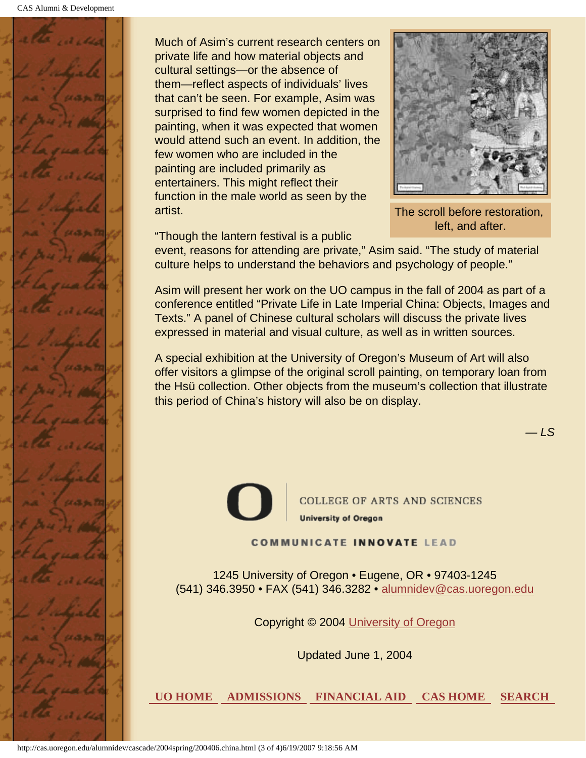

Much of Asim's current research centers on private life and how material objects and cultural settings—or the absence of them—reflect aspects of individuals' lives that can't be seen. For example, Asim was surprised to find few women depicted in the painting, when it was expected that women would attend such an event. In addition, the few women who are included in the painting are included primarily as entertainers. This might reflect their function in the male world as seen by the artist.



The scroll before restoration, left, and after.

"Though the lantern festival is a public

event, reasons for attending are private," Asim said. "The study of material culture helps to understand the behaviors and psychology of people."

Asim will present her work on the UO campus in the fall of 2004 as part of a conference entitled "Private Life in Late Imperial China: Objects, Images and Texts." A panel of Chinese cultural scholars will discuss the private lives expressed in material and visual culture, as well as in written sources.

A special exhibition at the University of Oregon's Museum of Art will also offer visitors a glimpse of the original scroll painting, on temporary loan from the Hsü collection. Other objects from the museum's collection that illustrate this period of China's history will also be on display.

*— LS*



**COLLEGE OF ARTS AND SCIENCES University of Oregon** 

**COMMUNICATE INNOVATE LEAD** 

1245 University of Oregon • Eugene, OR • 97403-1245 (541) 346.3950 • FAX (541) 346.3282 • alumnidev@cas.uoregon.edu

Copyright © 2004 University of Oregon

Updated June 1, 2004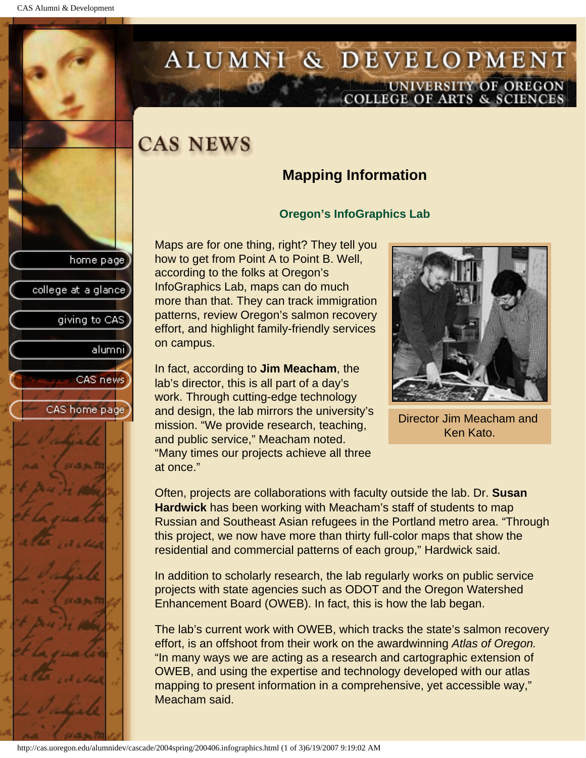college at a glance

giving to CAS

alumnil

CAS news

CAS home page

## <span id="page-28-0"></span>ALUMNI & DEVELOPMENT UNIVERSITY OF OREGON<br>COLLEGE OF ARTS & SCIENCES

## **CAS NEWS**

## **Mapping Information**

### **Oregon's InfoGraphics Lab**

Maps are for one thing, right? They tell you how to get from Point A to Point B. Well, according to the folks at Oregon's InfoGraphics Lab, maps can do much more than that. They can track immigration patterns, review Oregon's salmon recovery effort, and highlight family-friendly services on campus.

In fact, according to **Jim Meacham**, the lab's director, this is all part of a day's work. Through cutting-edge technology and design, the lab mirrors the university's mission. "We provide research, teaching, and public service," Meacham noted. "Many times our projects achieve all three at once."



Director Jim Meacham and Ken Kato.

Often, projects are collaborations with faculty outside the lab. Dr. **Susan Hardwick** has been working with Meacham's staff of students to map Russian and Southeast Asian refugees in the Portland metro area. "Through this project, we now have more than thirty full-color maps that show the residential and commercial patterns of each group," Hardwick said.

In addition to scholarly research, the lab regularly works on public service projects with state agencies such as ODOT and the Oregon Watershed Enhancement Board (OWEB). In fact, this is how the lab began.

The lab's current work with OWEB, which tracks the state's salmon recovery effort, is an offshoot from their work on the awardwinning *Atlas of Oregon.* "In many ways we are acting as a research and cartographic extension of OWEB, and using the expertise and technology developed with our atlas mapping to present information in a comprehensive, yet accessible way," Meacham said.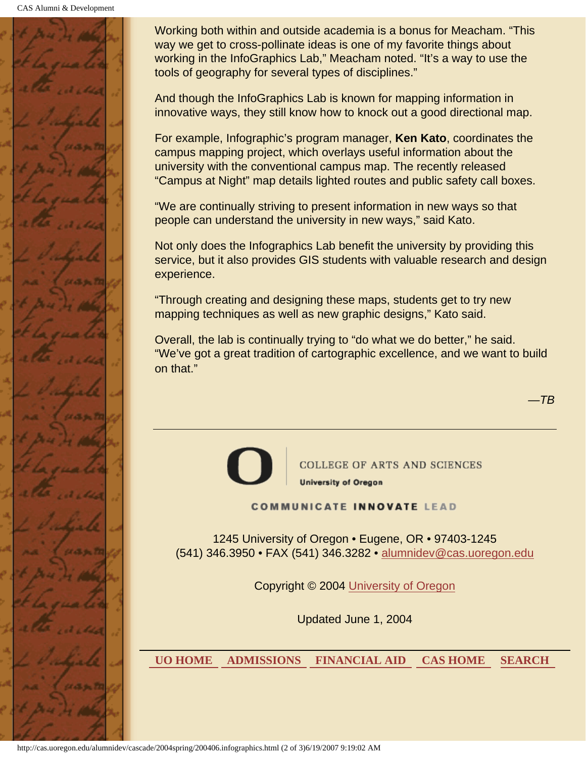CAS Alumni & Development



Working both within and outside academia is a bonus for Meacham. "This way we get to cross-pollinate ideas is one of my favorite things about working in the InfoGraphics Lab," Meacham noted. "It's a way to use the tools of geography for several types of disciplines."

And though the InfoGraphics Lab is known for mapping information in innovative ways, they still know how to knock out a good directional map.

For example, Infographic's program manager, **Ken Kato**, coordinates the campus mapping project, which overlays useful information about the university with the conventional campus map. The recently released "Campus at Night" map details lighted routes and public safety call boxes.

"We are continually striving to present information in new ways so that people can understand the university in new ways," said Kato.

Not only does the Infographics Lab benefit the university by providing this service, but it also provides GIS students with valuable research and design experience.

"Through creating and designing these maps, students get to try new mapping techniques as well as new graphic designs," Kato said.

Overall, the lab is continually trying to "do what we do better," he said. "We've got a great tradition of cartographic excellence, and we want to build on that."

*—TB*



COLLEGE OF ARTS AND SCIENCES **University of Oregon** 

**COMMUNICATE INNOVATE LEAD** 

1245 University of Oregon • Eugene, OR • 97403-1245 (541) 346.3950 • FAX (541) 346.3282 • alumnidev@cas.uoregon.edu

Copyright © 2004 University of Oregon

Updated June 1, 2004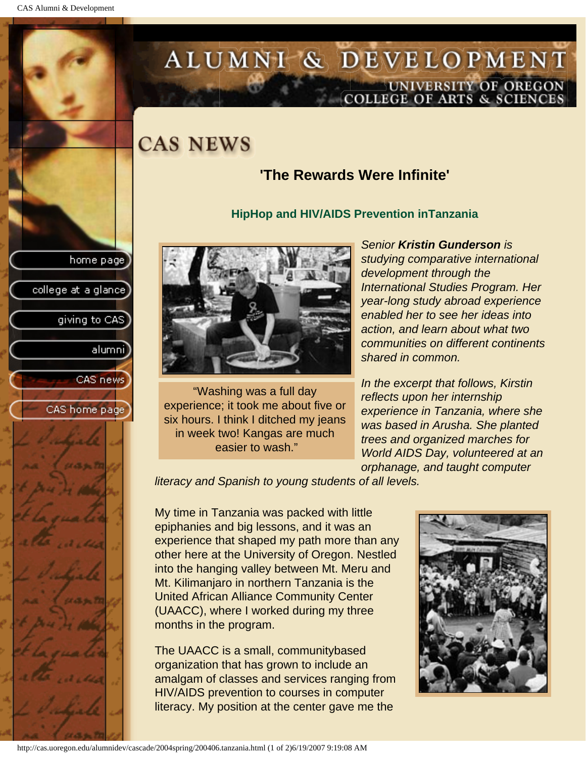college at a glance]

giving to CAS

alumnil

CAS news

CAS home page

## <span id="page-30-0"></span>ALUMNI & DEVELOPMENT UNIVERSITY OF OREGON<br>COLLEGE OF ARTS & SCIENCES

## **CAS NEWS**

## **'The Rewards Were Infinite'**

#### **HipHop and HIV/AIDS Prevention inTanzania**



"Washing was a full day experience; it took me about five or six hours. I think I ditched my jeans in week two! Kangas are much easier to wash."

*Senior Kristin Gunderson is studying comparative international development through the International Studies Program. Her year-long study abroad experience enabled her to see her ideas into action, and learn about what two communities on different continents shared in common.*

*In the excerpt that follows, Kirstin reflects upon her internship experience in Tanzania, where she was based in Arusha. She planted trees and organized marches for World AIDS Day, volunteered at an orphanage, and taught computer* 

*literacy and Spanish to young students of all levels.*

My time in Tanzania was packed with little epiphanies and big lessons, and it was an experience that shaped my path more than any other here at the University of Oregon. Nestled into the hanging valley between Mt. Meru and Mt. Kilimanjaro in northern Tanzania is the United African Alliance Community Center (UAACC), where I worked during my three months in the program.

The UAACC is a small, communitybased organization that has grown to include an amalgam of classes and services ranging from HIV/AIDS prevention to courses in computer literacy. My position at the center gave me the

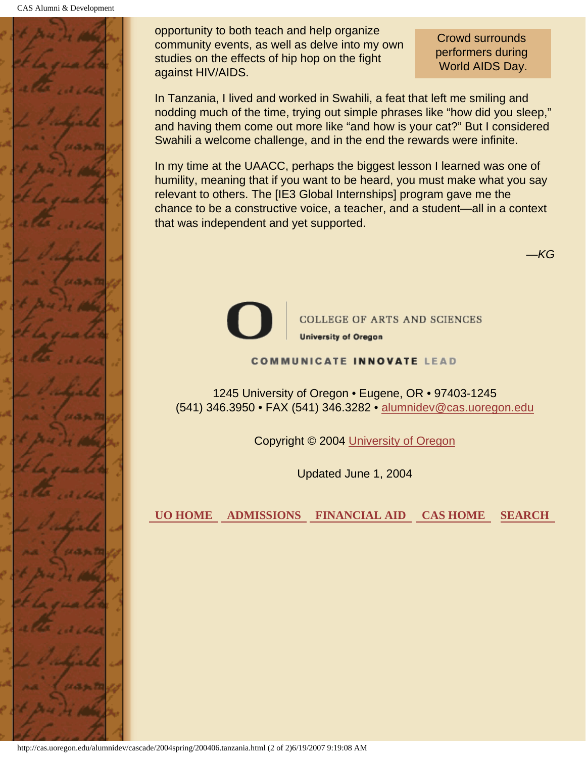

opportunity to both teach and help organize community events, as well as delve into my own studies on the effects of hip hop on the fight against HIV/AIDS.

Crowd surrounds performers during World AIDS Day.

*—KG*

In Tanzania, I lived and worked in Swahili, a feat that left me smiling and nodding much of the time, trying out simple phrases like "how did you sleep," and having them come out more like "and how is your cat?" But I considered Swahili a welcome challenge, and in the end the rewards were infinite.

In my time at the UAACC, perhaps the biggest lesson I learned was one of humility, meaning that if you want to be heard, you must make what you say relevant to others. The [IE3 Global Internships] program gave me the chance to be a constructive voice, a teacher, and a student—all in a context that was independent and yet supported.



**COLLEGE OF ARTS AND SCIENCES University of Oregon** 

#### **COMMUNICATE INNOVATE LEAD**

1245 University of Oregon • Eugene, OR • 97403-1245 (541) 346.3950 • FAX (541) 346.3282 • alumnidev@cas.uoregon.edu

Copyright © 2004 University of Oregon

Updated June 1, 2004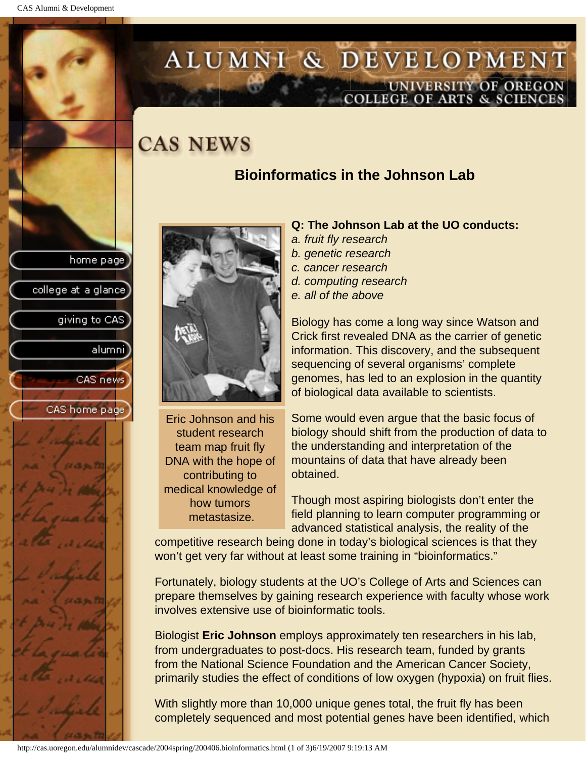## <span id="page-32-0"></span>ALUMNI & DEVELOPMENT UNIVERSITY OF OREGON<br>COLLEGE OF ARTS & SCIENCES

## **CAS NEWS**

## **Bioinformatics in the Johnson Lab**





Eric Johnson and his student research team map fruit fly DNA with the hope of contributing to medical knowledge of how tumors metastasize.

#### **Q: The Johnson Lab at the UO conducts:**

- *a. fruit fly research*
- *b. genetic research*
- *c. cancer research*
- *d. computing research*
- *e. all of the above*

Biology has come a long way since Watson and Crick first revealed DNA as the carrier of genetic information. This discovery, and the subsequent sequencing of several organisms' complete genomes, has led to an explosion in the quantity of biological data available to scientists.

Some would even argue that the basic focus of biology should shift from the production of data to the understanding and interpretation of the mountains of data that have already been obtained.

Though most aspiring biologists don't enter the field planning to learn computer programming or advanced statistical analysis, the reality of the

competitive research being done in today's biological sciences is that they won't get very far without at least some training in "bioinformatics."

Fortunately, biology students at the UO's College of Arts and Sciences can prepare themselves by gaining research experience with faculty whose work involves extensive use of bioinformatic tools.

Biologist **Eric Johnson** employs approximately ten researchers in his lab, from undergraduates to post-docs. His research team, funded by grants from the National Science Foundation and the American Cancer Society, primarily studies the effect of conditions of low oxygen (hypoxia) on fruit flies.

With slightly more than 10,000 unique genes total, the fruit fly has been completely sequenced and most potential genes have been identified, which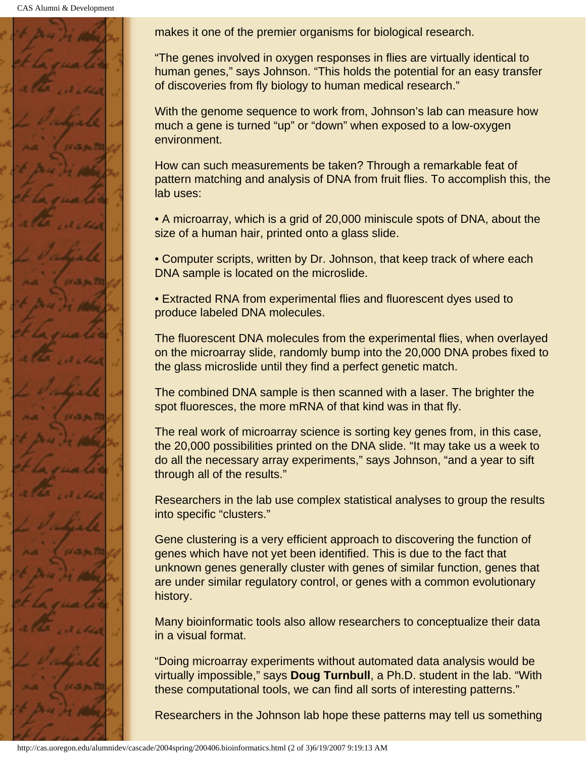CAS Alumni & Development



makes it one of the premier organisms for biological research.

"The genes involved in oxygen responses in flies are virtually identical to human genes," says Johnson. "This holds the potential for an easy transfer of discoveries from fly biology to human medical research."

With the genome sequence to work from, Johnson's lab can measure how much a gene is turned "up" or "down" when exposed to a low-oxygen environment.

How can such measurements be taken? Through a remarkable feat of pattern matching and analysis of DNA from fruit flies. To accomplish this, the lab uses:

• A microarray, which is a grid of 20,000 miniscule spots of DNA, about the size of a human hair, printed onto a glass slide.

• Computer scripts, written by Dr. Johnson, that keep track of where each DNA sample is located on the microslide.

• Extracted RNA from experimental flies and fluorescent dyes used to produce labeled DNA molecules.

The fluorescent DNA molecules from the experimental flies, when overlayed on the microarray slide, randomly bump into the 20,000 DNA probes fixed to the glass microslide until they find a perfect genetic match.

The combined DNA sample is then scanned with a laser. The brighter the spot fluoresces, the more mRNA of that kind was in that fly.

The real work of microarray science is sorting key genes from, in this case, the 20,000 possibilities printed on the DNA slide. "It may take us a week to do all the necessary array experiments," says Johnson, "and a year to sift through all of the results."

Researchers in the lab use complex statistical analyses to group the results into specific "clusters."

Gene clustering is a very efficient approach to discovering the function of genes which have not yet been identified. This is due to the fact that unknown genes generally cluster with genes of similar function, genes that are under similar regulatory control, or genes with a common evolutionary history.

Many bioinformatic tools also allow researchers to conceptualize their data in a visual format.

"Doing microarray experiments without automated data analysis would be virtually impossible," says **Doug Turnbull**, a Ph.D. student in the lab. "With these computational tools, we can find all sorts of interesting patterns."

Researchers in the Johnson lab hope these patterns may tell us something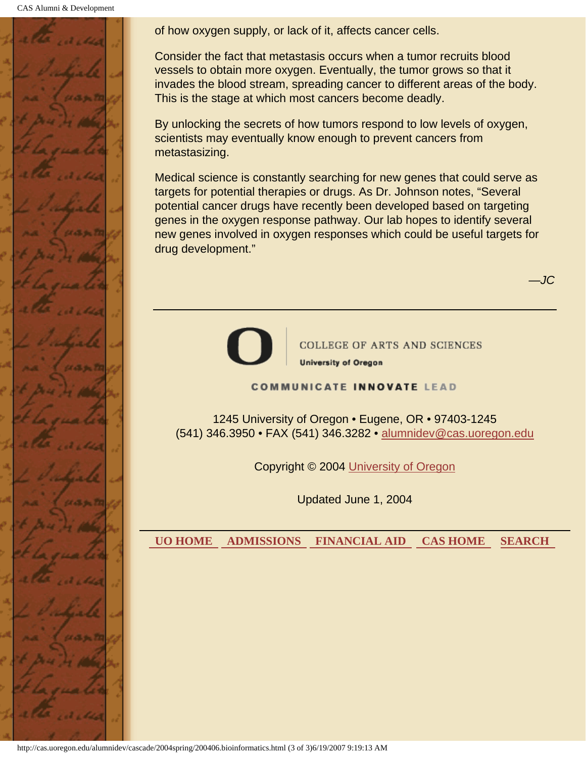CAS Alumni & Development



of how oxygen supply, or lack of it, affects cancer cells.

Consider the fact that metastasis occurs when a tumor recruits blood vessels to obtain more oxygen. Eventually, the tumor grows so that it invades the blood stream, spreading cancer to different areas of the body. This is the stage at which most cancers become deadly.

By unlocking the secrets of how tumors respond to low levels of oxygen, scientists may eventually know enough to prevent cancers from metastasizing.

Medical science is constantly searching for new genes that could serve as targets for potential therapies or drugs. As Dr. Johnson notes, "Several potential cancer drugs have recently been developed based on targeting genes in the oxygen response pathway. Our lab hopes to identify several new genes involved in oxygen responses which could be useful targets for drug development."



**COLLEGE OF ARTS AND SCIENCES University of Oregon** 

*—JC*

**COMMUNICATE INNOVATE LEAD** 

1245 University of Oregon • Eugene, OR • 97403-1245 (541) 346.3950 • FAX (541) 346.3282 • alumnidev@cas.uoregon.edu

Copyright © 2004 University of Oregon

Updated June 1, 2004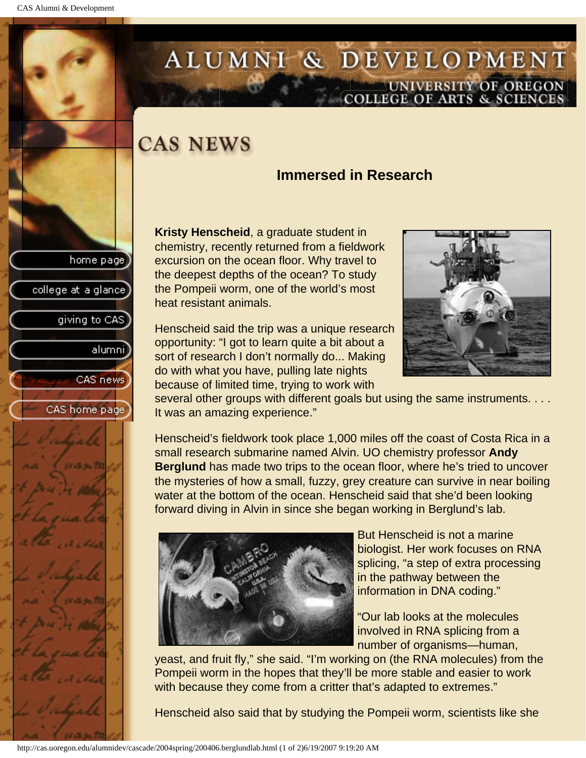college at a glance

giving to CAS

alumni

CAS news

CAS home page

## <span id="page-35-0"></span>ALUMNI & DEVELOPMENT UNIVERSITY OF OREGON<br>COLLEGE OF ARTS & SCIENCES

## **CAS NEWS**

## **Immersed in Research**

**Kristy Henscheid**, a graduate student in chemistry, recently returned from a fieldwork excursion on the ocean floor. Why travel to the deepest depths of the ocean? To study the Pompeii worm, one of the world's most heat resistant animals.

Henscheid said the trip was a unique research opportunity: "I got to learn quite a bit about a sort of research I don't normally do... Making do with what you have, pulling late nights because of limited time, trying to work with



several other groups with different goals but using the same instruments. . . . It was an amazing experience."

Henscheid's fieldwork took place 1,000 miles off the coast of Costa Rica in a small research submarine named Alvin. UO chemistry professor **Andy Berglund** has made two trips to the ocean floor, where he's tried to uncover the mysteries of how a small, fuzzy, grey creature can survive in near boiling water at the bottom of the ocean. Henscheid said that she'd been looking forward diving in Alvin in since she began working in Berglund's lab.



But Henscheid is not a marine biologist. Her work focuses on RNA splicing, "a step of extra processing in the pathway between the information in DNA coding."

"Our lab looks at the molecules involved in RNA splicing from a number of organisms—human,

yeast, and fruit fly," she said. "I'm working on (the RNA molecules) from the Pompeii worm in the hopes that they'll be more stable and easier to work with because they come from a critter that's adapted to extremes."

Henscheid also said that by studying the Pompeii worm, scientists like she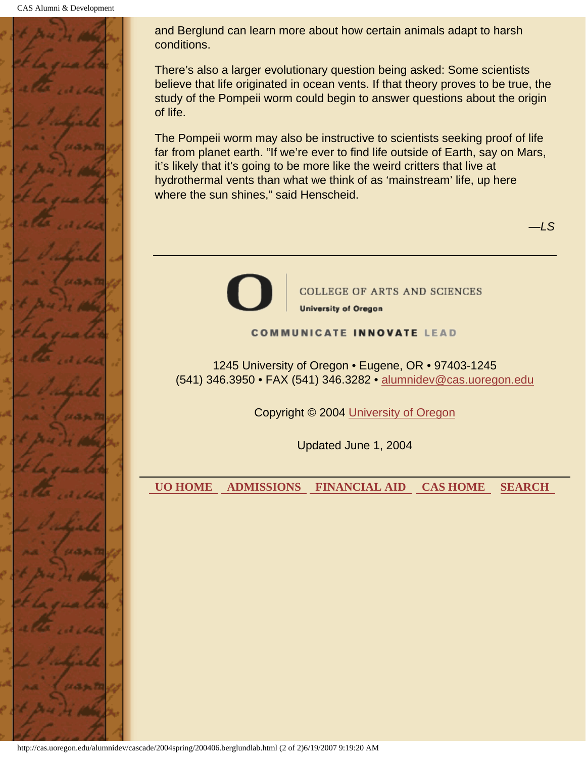

and Berglund can learn more about how certain animals adapt to harsh conditions.

There's also a larger evolutionary question being asked: Some scientists believe that life originated in ocean vents. If that theory proves to be true, the study of the Pompeii worm could begin to answer questions about the origin of life.

The Pompeii worm may also be instructive to scientists seeking proof of life far from planet earth. "If we're ever to find life outside of Earth, say on Mars, it's likely that it's going to be more like the weird critters that live at hydrothermal vents than what we think of as 'mainstream' life, up here where the sun shines," said Henscheid.



**COLLEGE OF ARTS AND SCIENCES University of Oregon** 

#### **COMMUNICATE INNOVATE LEAD**

1245 University of Oregon • Eugene, OR • 97403-1245 (541) 346.3950 • FAX (541) 346.3282 • alumnidev@cas.uoregon.edu

Copyright © 2004 University of Oregon

Updated June 1, 2004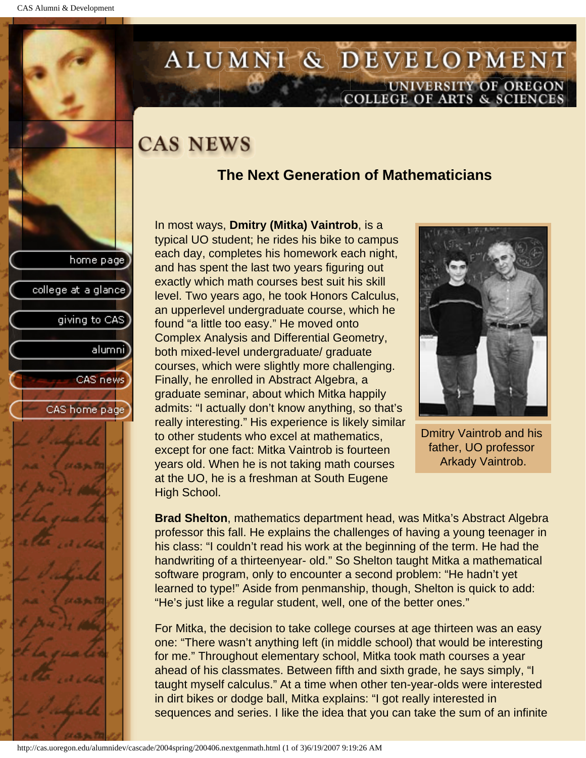college at a glance

giving to CAS

alumni

CAS news

CAS home page

## <span id="page-37-0"></span>ALUMNI & DEVELOPMENT UNIVERSITY OF OREGON<br>COLLEGE OF ARTS & SCIENCES

## **CAS NEWS**

## **The Next Generation of Mathematicians**

In most ways, **Dmitry (Mitka) Vaintrob**, is a typical UO student; he rides his bike to campus each day, completes his homework each night, and has spent the last two years figuring out exactly which math courses best suit his skill level. Two years ago, he took Honors Calculus, an upperlevel undergraduate course, which he found "a little too easy." He moved onto Complex Analysis and Differential Geometry, both mixed-level undergraduate/ graduate courses, which were slightly more challenging. Finally, he enrolled in Abstract Algebra, a graduate seminar, about which Mitka happily admits: "I actually don't know anything, so that's really interesting." His experience is likely similar to other students who excel at mathematics, except for one fact: Mitka Vaintrob is fourteen years old. When he is not taking math courses at the UO, he is a freshman at South Eugene High School.



Dmitry Vaintrob and his father, UO professor Arkady Vaintrob.

**Brad Shelton**, mathematics department head, was Mitka's Abstract Algebra professor this fall. He explains the challenges of having a young teenager in his class: "I couldn't read his work at the beginning of the term. He had the handwriting of a thirteenyear- old." So Shelton taught Mitka a mathematical software program, only to encounter a second problem: "He hadn't yet learned to type!" Aside from penmanship, though, Shelton is quick to add: "He's just like a regular student, well, one of the better ones."

For Mitka, the decision to take college courses at age thirteen was an easy one: "There wasn't anything left (in middle school) that would be interesting for me." Throughout elementary school, Mitka took math courses a year ahead of his classmates. Between fifth and sixth grade, he says simply, "I taught myself calculus." At a time when other ten-year-olds were interested in dirt bikes or dodge ball, Mitka explains: "I got really interested in sequences and series. I like the idea that you can take the sum of an infinite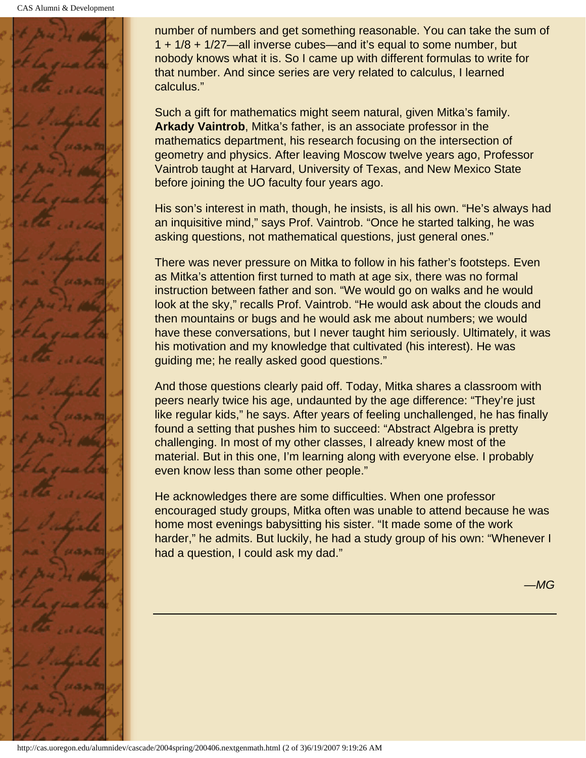

number of numbers and get something reasonable. You can take the sum of 1 + 1/8 + 1/27—all inverse cubes—and it's equal to some number, but nobody knows what it is. So I came up with different formulas to write for that number. And since series are very related to calculus, I learned calculus."

Such a gift for mathematics might seem natural, given Mitka's family. **Arkady Vaintrob**, Mitka's father, is an associate professor in the mathematics department, his research focusing on the intersection of geometry and physics. After leaving Moscow twelve years ago, Professor Vaintrob taught at Harvard, University of Texas, and New Mexico State before joining the UO faculty four years ago.

His son's interest in math, though, he insists, is all his own. "He's always had an inquisitive mind," says Prof. Vaintrob. "Once he started talking, he was asking questions, not mathematical questions, just general ones."

There was never pressure on Mitka to follow in his father's footsteps. Even as Mitka's attention first turned to math at age six, there was no formal instruction between father and son. "We would go on walks and he would look at the sky," recalls Prof. Vaintrob. "He would ask about the clouds and then mountains or bugs and he would ask me about numbers; we would have these conversations, but I never taught him seriously. Ultimately, it was his motivation and my knowledge that cultivated (his interest). He was guiding me; he really asked good questions."

And those questions clearly paid off. Today, Mitka shares a classroom with peers nearly twice his age, undaunted by the age difference: "They're just like regular kids," he says. After years of feeling unchallenged, he has finally found a setting that pushes him to succeed: "Abstract Algebra is pretty challenging. In most of my other classes, I already knew most of the material. But in this one, I'm learning along with everyone else. I probably even know less than some other people."

He acknowledges there are some difficulties. When one professor encouraged study groups, Mitka often was unable to attend because he was home most evenings babysitting his sister. "It made some of the work harder," he admits. But luckily, he had a study group of his own: "Whenever I had a question, I could ask my dad."

*—MG*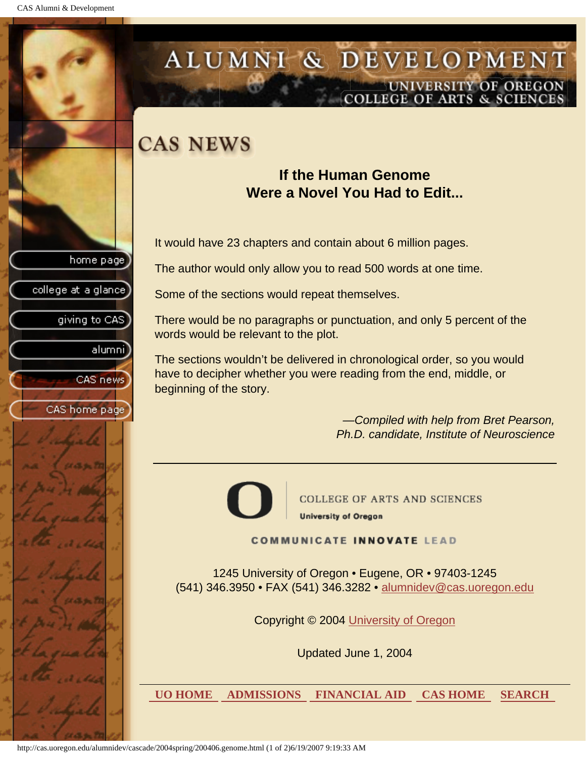<span id="page-39-0"></span>

## ALUMNI & DEVELOPMENT UNIVERSITY OF OREGON **COLLEGE OF ARTS & SCIENCE**

## **CAS NEWS**

## **If the Human Genome Were a Novel You Had to Edit...**

It would have 23 chapters and contain about 6 million pages.

The author would only allow you to read 500 words at one time.

Some of the sections would repeat themselves.

There would be no paragraphs or punctuation, and only 5 percent of the words would be relevant to the plot.

The sections wouldn't be delivered in chronological order, so you would have to decipher whether you were reading from the end, middle, or beginning of the story.

> *—Compiled with help from Bret Pearson, Ph.D. candidate, Institute of Neuroscience*



**COLLEGE OF ARTS AND SCIENCES University of Oregon** 

### **COMMUNICATE INNOVATE LEAD**

1245 University of Oregon • Eugene, OR • 97403-1245 (541) 346.3950 • FAX (541) 346.3282 • alumnidev@cas.uoregon.edu

Copyright © 2004 University of Oregon

Updated June 1, 2004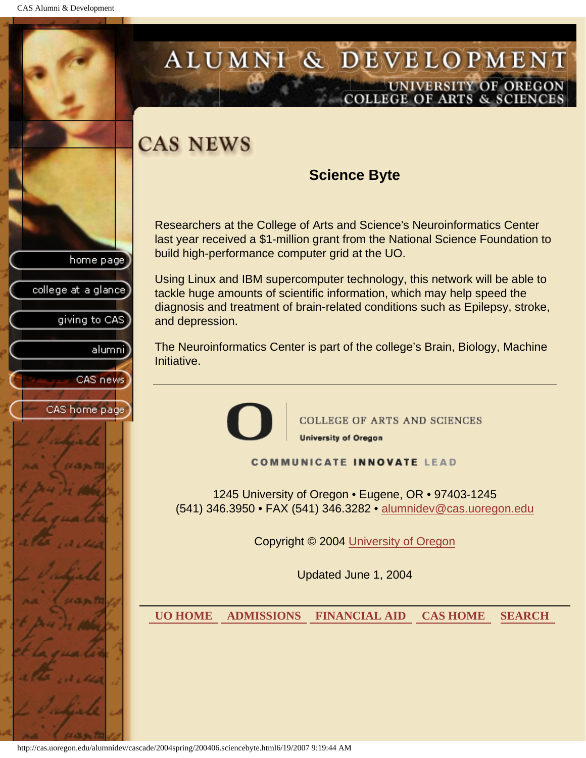college at a glance

giving to CAS

alumni

CAS news

CAS home page

## <span id="page-40-0"></span>ALUMNI & DEVELOPMENT UNIVERSITY OF OREGON **COLLEGE OF ARTS & SCIENCE**

## **CAS NEWS**

## **Science Byte**

Researchers at the College of Arts and Science's Neuroinformatics Center last year received a \$1-million grant from the National Science Foundation to build high-performance computer grid at the UO.

Using Linux and IBM supercomputer technology, this network will be able to tackle huge amounts of scientific information, which may help speed the diagnosis and treatment of brain-related conditions such as Epilepsy, stroke, and depression.

The Neuroinformatics Center is part of the college's Brain, Biology, Machine Initiative.



**COLLEGE OF ARTS AND SCIENCES** 

**University of Oregon** 

#### **COMMUNICATE INNOVATE LEAD**

1245 University of Oregon • Eugene, OR • 97403-1245 (541) 346.3950 • FAX (541) 346.3282 • alumnidev@cas.uoregon.edu

Copyright © 2004 University of Oregon

Updated June 1, 2004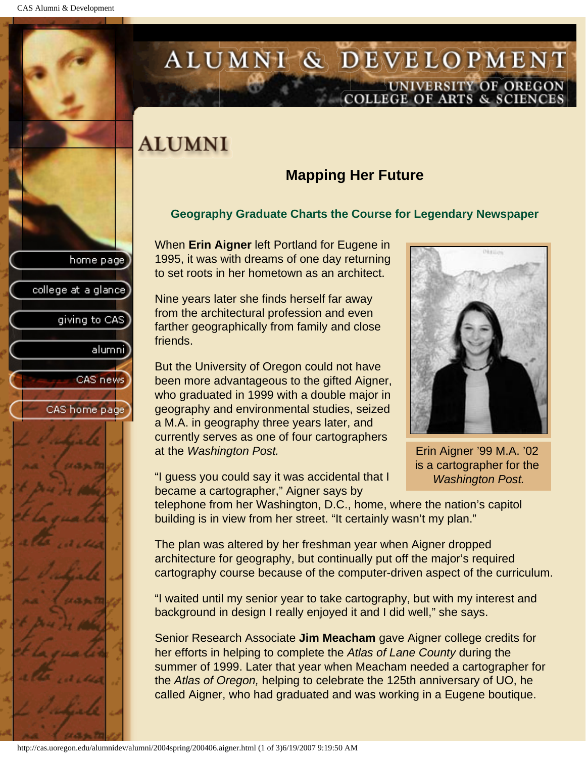college at a glance

giving to CAS

alumnil

CAS news

CAS home page

## <span id="page-41-0"></span>ALUMNI & DEVELOPMENT UNIVERSITY OF OREGON<br>COLLEGE OF ARTS & SCIENCES

## **ALUMNI**

## **Mapping Her Future**

### **Geography Graduate Charts the Course for Legendary Newspaper**

When **Erin Aigner** left Portland for Eugene in 1995, it was with dreams of one day returning to set roots in her hometown as an architect.

Nine years later she finds herself far away from the architectural profession and even farther geographically from family and close friends.

But the University of Oregon could not have been more advantageous to the gifted Aigner, who graduated in 1999 with a double major in geography and environmental studies, seized a M.A. in geography three years later, and currently serves as one of four cartographers at the *Washington Post.*



Erin Aigner '99 M.A. '02 is a cartographer for the *Washington Post.*

"I guess you could say it was accidental that I became a cartographer," Aigner says by

telephone from her Washington, D.C., home, where the nation's capitol building is in view from her street. "It certainly wasn't my plan."

The plan was altered by her freshman year when Aigner dropped architecture for geography, but continually put off the major's required cartography course because of the computer-driven aspect of the curriculum.

"I waited until my senior year to take cartography, but with my interest and background in design I really enjoyed it and I did well," she says.

Senior Research Associate **Jim Meacham** gave Aigner college credits for her efforts in helping to complete the *Atlas of Lane County* during the summer of 1999. Later that year when Meacham needed a cartographer for the *Atlas of Oregon,* helping to celebrate the 125th anniversary of UO, he called Aigner, who had graduated and was working in a Eugene boutique.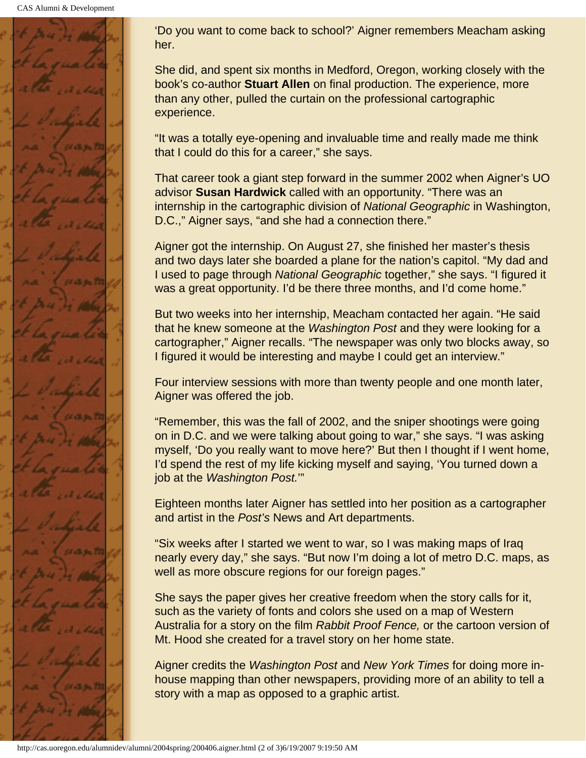

'Do you want to come back to school?' Aigner remembers Meacham asking her.

She did, and spent six months in Medford, Oregon, working closely with the book's co-author **Stuart Allen** on final production. The experience, more than any other, pulled the curtain on the professional cartographic experience.

"It was a totally eye-opening and invaluable time and really made me think that I could do this for a career," she says.

That career took a giant step forward in the summer 2002 when Aigner's UO advisor **Susan Hardwick** called with an opportunity. "There was an internship in the cartographic division of *National Geographic* in Washington, D.C.," Aigner says, "and she had a connection there."

Aigner got the internship. On August 27, she finished her master's thesis and two days later she boarded a plane for the nation's capitol. "My dad and I used to page through *National Geographic* together," she says. "I figured it was a great opportunity. I'd be there three months, and I'd come home."

But two weeks into her internship, Meacham contacted her again. "He said that he knew someone at the *Washington Post* and they were looking for a cartographer," Aigner recalls. "The newspaper was only two blocks away, so I figured it would be interesting and maybe I could get an interview."

Four interview sessions with more than twenty people and one month later, Aigner was offered the job.

"Remember, this was the fall of 2002, and the sniper shootings were going on in D.C. and we were talking about going to war," she says. "I was asking myself, 'Do you really want to move here?' But then I thought if I went home, I'd spend the rest of my life kicking myself and saying, 'You turned down a job at the *Washington Post.*'"

Eighteen months later Aigner has settled into her position as a cartographer and artist in the *Post's* News and Art departments.

"Six weeks after I started we went to war, so I was making maps of Iraq nearly every day," she says. "But now I'm doing a lot of metro D.C. maps, as well as more obscure regions for our foreign pages."

She says the paper gives her creative freedom when the story calls for it, such as the variety of fonts and colors she used on a map of Western Australia for a story on the film *Rabbit Proof Fence,* or the cartoon version of Mt. Hood she created for a travel story on her home state.

Aigner credits the *Washington Post* and *New York Times* for doing more inhouse mapping than other newspapers, providing more of an ability to tell a story with a map as opposed to a graphic artist.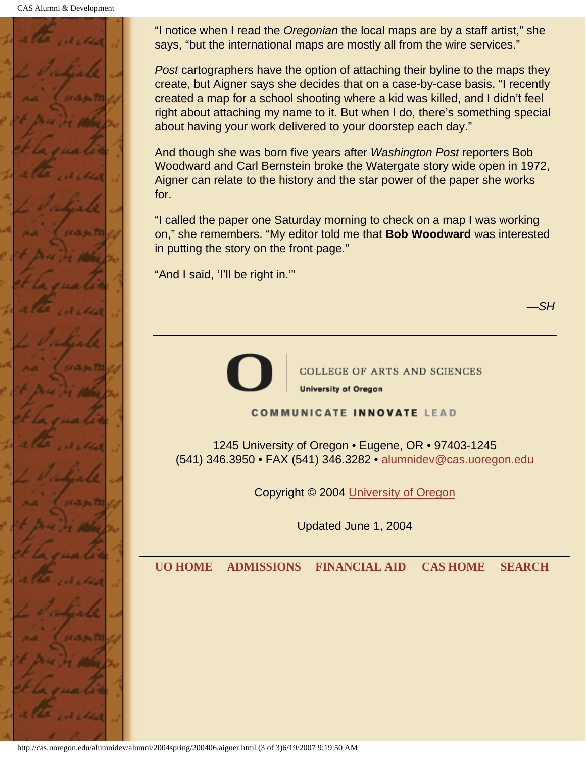CAS Alumni & Development



"I notice when I read the *Oregonian* the local maps are by a staff artist," she says, "but the international maps are mostly all from the wire services."

*Post* cartographers have the option of attaching their byline to the maps they create, but Aigner says she decides that on a case-by-case basis. "I recently created a map for a school shooting where a kid was killed, and I didn't feel right about attaching my name to it. But when I do, there's something special about having your work delivered to your doorstep each day."

And though she was born five years after *Washington Post* reporters Bob Woodward and Carl Bernstein broke the Watergate story wide open in 1972, Aigner can relate to the history and the star power of the paper she works for.

"I called the paper one Saturday morning to check on a map I was working on," she remembers. "My editor told me that **Bob Woodward** was interested in putting the story on the front page."

"And I said, 'I'll be right in.'"

*—SH*



**COLLEGE OF ARTS AND SCIENCES** 

**University of Oregon** 

#### **COMMUNICATE INNOVATE LEAD**

1245 University of Oregon • Eugene, OR • 97403-1245 (541) 346.3950 • FAX (541) 346.3282 • alumnidev@cas.uoregon.edu

Copyright © 2004 University of Oregon

Updated June 1, 2004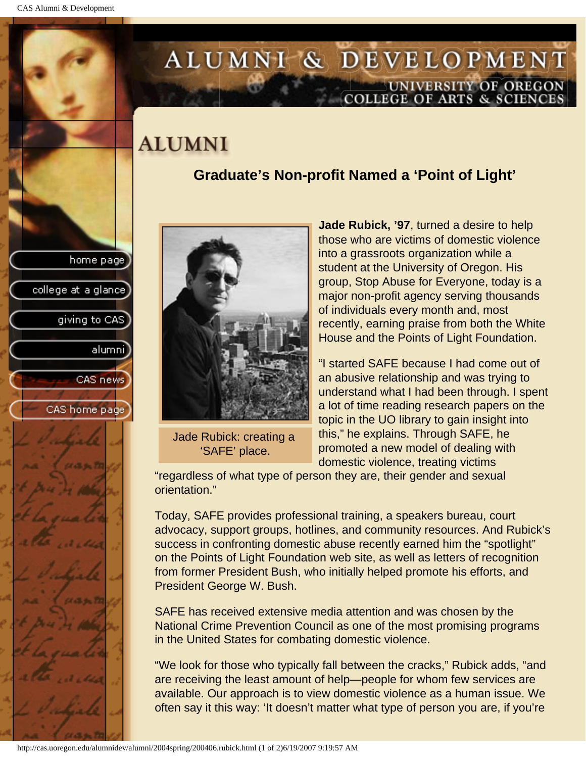## <span id="page-44-0"></span>ALUMNI & DEVELOPMENT UNIVERSITY OF OREGON<br>COLLEGE OF ARTS & SCIENCES

## **ALUMNI**

## **Graduate's Non-profit Named a 'Point of Light'**





Jade Rubick: creating a 'SAFE' place.

**Jade Rubick, '97**, turned a desire to help those who are victims of domestic violence into a grassroots organization while a student at the University of Oregon. His group, Stop Abuse for Everyone, today is a major non-profit agency serving thousands of individuals every month and, most recently, earning praise from both the White House and the Points of Light Foundation.

"I started SAFE because I had come out of an abusive relationship and was trying to understand what I had been through. I spent a lot of time reading research papers on the topic in the UO library to gain insight into this," he explains. Through SAFE, he promoted a new model of dealing with domestic violence, treating victims

"regardless of what type of person they are, their gender and sexual orientation."

Today, SAFE provides professional training, a speakers bureau, court advocacy, support groups, hotlines, and community resources. And Rubick's success in confronting domestic abuse recently earned him the "spotlight" on the Points of Light Foundation web site, as well as letters of recognition from former President Bush, who initially helped promote his efforts, and President George W. Bush.

SAFE has received extensive media attention and was chosen by the National Crime Prevention Council as one of the most promising programs in the United States for combating domestic violence.

"We look for those who typically fall between the cracks," Rubick adds, "and are receiving the least amount of help—people for whom few services are available. Our approach is to view domestic violence as a human issue. We often say it this way: 'It doesn't matter what type of person you are, if you're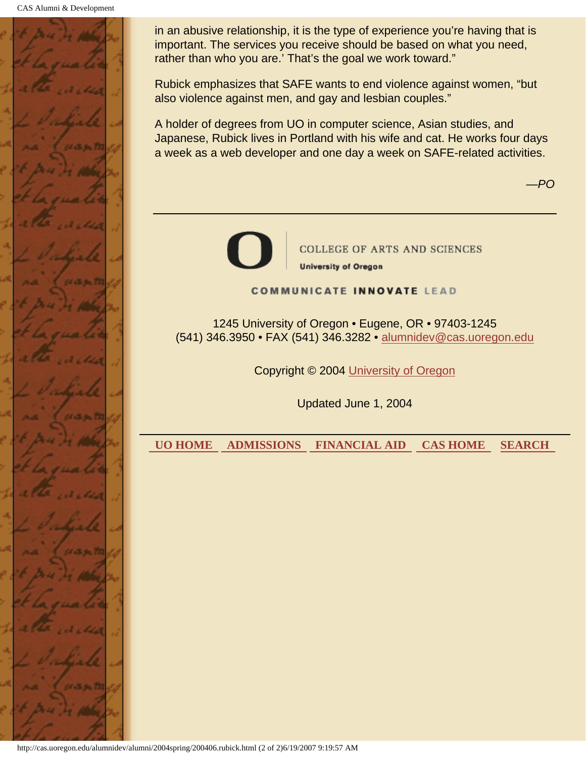CAS Alumni & Development



in an abusive relationship, it is the type of experience you're having that is important. The services you receive should be based on what you need, rather than who you are.' That's the goal we work toward."

Rubick emphasizes that SAFE wants to end violence against women, "but also violence against men, and gay and lesbian couples."

A holder of degrees from UO in computer science, Asian studies, and Japanese, Rubick lives in Portland with his wife and cat. He works four days a week as a web developer and one day a week on SAFE-related activities.

*—PO*



**COLLEGE OF ARTS AND SCIENCES University of Oregon** 

#### **COMMUNICATE INNOVATE LEAD**

1245 University of Oregon • Eugene, OR • 97403-1245 (541) 346.3950 • FAX (541) 346.3282 • alumnidev@cas.uoregon.edu

Copyright © 2004 University of Oregon

Updated June 1, 2004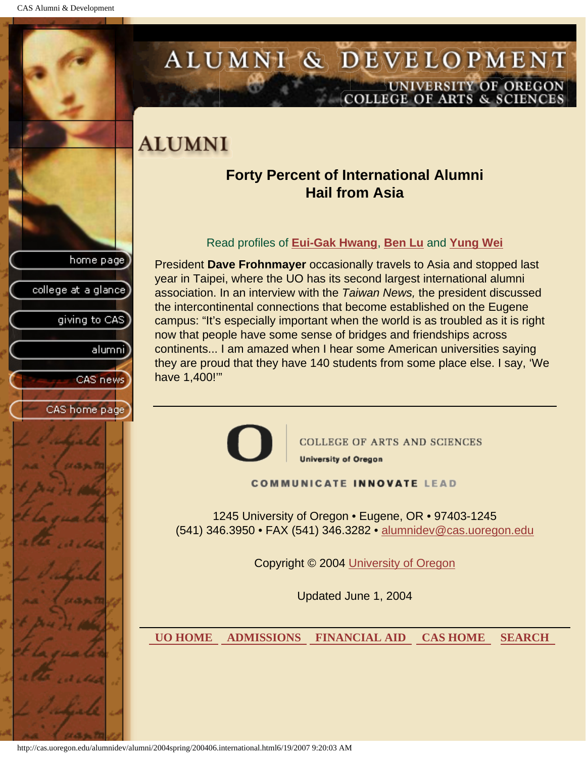<span id="page-46-0"></span>

http://cas.uoregon.edu/alumnidev/alumni/2004spring/200406.international.html6/19/2007 9:20:03 AM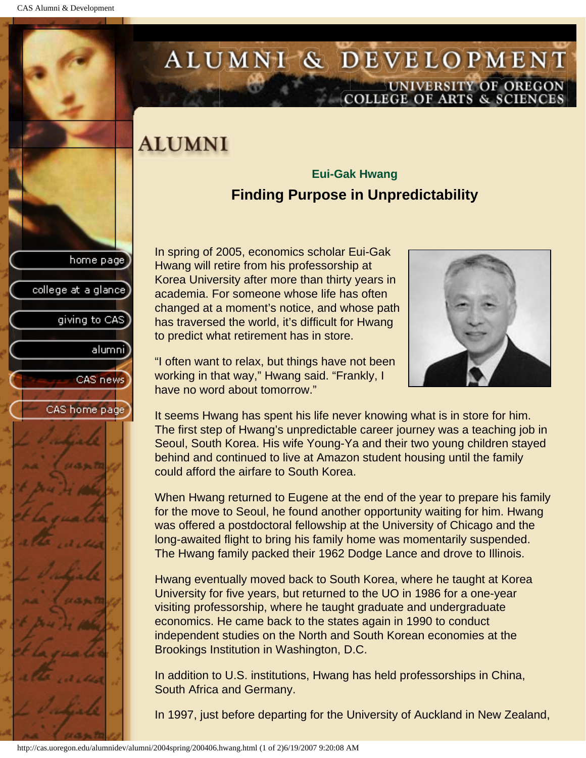college at a glance

giving to CAS

alumnil

CAS news

CAS home page

## <span id="page-47-0"></span>ALUMNI & DEVELOPMENT UNIVERSITY OF OREGON<br>COLLEGE OF ARTS & SCIENCES

## **ALUMNI**

## **Eui-Gak Hwang Finding Purpose in Unpredictability**

In spring of 2005, economics scholar Eui-Gak Hwang will retire from his professorship at Korea University after more than thirty years in academia. For someone whose life has often changed at a moment's notice, and whose path has traversed the world, it's difficult for Hwang to predict what retirement has in store.



"I often want to relax, but things have not been working in that way," Hwang said. "Frankly, I have no word about tomorrow."

It seems Hwang has spent his life never knowing what is in store for him. The first step of Hwang's unpredictable career journey was a teaching job in Seoul, South Korea. His wife Young-Ya and their two young children stayed behind and continued to live at Amazon student housing until the family could afford the airfare to South Korea.

When Hwang returned to Eugene at the end of the year to prepare his family for the move to Seoul, he found another opportunity waiting for him. Hwang was offered a postdoctoral fellowship at the University of Chicago and the long-awaited flight to bring his family home was momentarily suspended. The Hwang family packed their 1962 Dodge Lance and drove to Illinois.

Hwang eventually moved back to South Korea, where he taught at Korea University for five years, but returned to the UO in 1986 for a one-year visiting professorship, where he taught graduate and undergraduate economics. He came back to the states again in 1990 to conduct independent studies on the North and South Korean economies at the Brookings Institution in Washington, D.C.

In addition to U.S. institutions, Hwang has held professorships in China, South Africa and Germany.

In 1997, just before departing for the University of Auckland in New Zealand,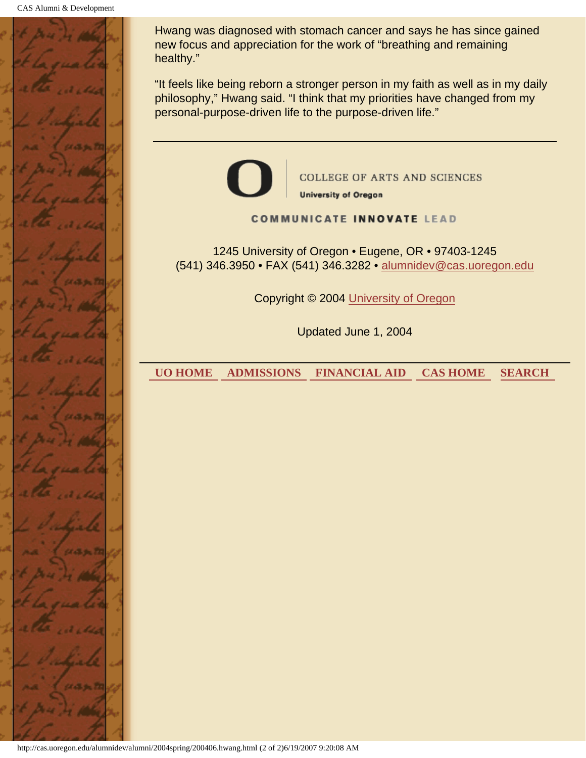

Hwang was diagnosed with stomach cancer and says he has since gained new focus and appreciation for the work of "breathing and remaining healthy."

"It feels like being reborn a stronger person in my faith as well as in my daily philosophy," Hwang said. "I think that my priorities have changed from my personal-purpose-driven life to the purpose-driven life."



**COLLEGE OF ARTS AND SCIENCES University of Oregon** 

**COMMUNICATE INNOVATE LEAD** 

1245 University of Oregon • Eugene, OR • 97403-1245 (541) 346.3950 • FAX (541) 346.3282 • alumnidev@cas.uoregon.edu

Copyright © 2004 University of Oregon

Updated June 1, 2004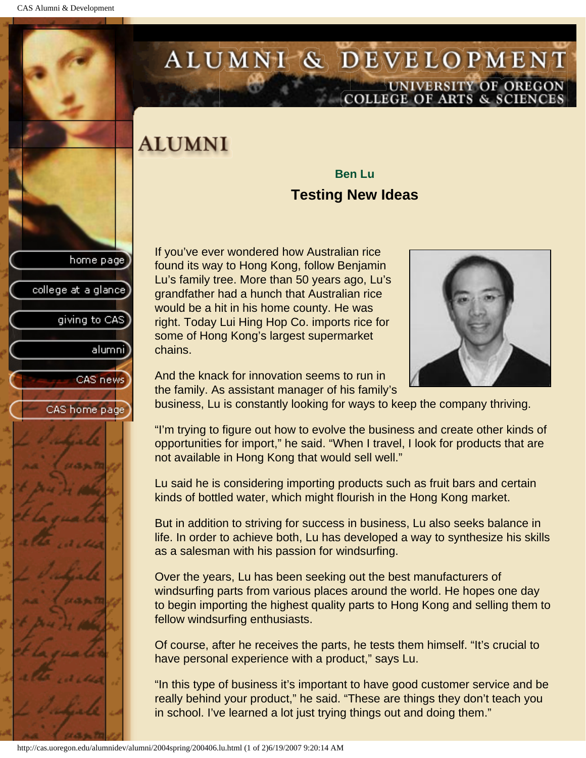college at a glance

giving to CAS

alumnil

CAS news

CAS home page

## <span id="page-49-0"></span>ALUMNI & DEVELOPMENT UNIVERSITY OF OREGON<br>COLLEGE OF ARTS & SCIENCES

## **ALUMNI**

## **Ben Lu Testing New Ideas**

If you've ever wondered how Australian rice found its way to Hong Kong, follow Benjamin Lu's family tree. More than 50 years ago, Lu's grandfather had a hunch that Australian rice would be a hit in his home county. He was right. Today Lui Hing Hop Co. imports rice for some of Hong Kong's largest supermarket chains.



And the knack for innovation seems to run in the family. As assistant manager of his family's

business, Lu is constantly looking for ways to keep the company thriving.

"I'm trying to figure out how to evolve the business and create other kinds of opportunities for import," he said. "When I travel, I look for products that are not available in Hong Kong that would sell well."

Lu said he is considering importing products such as fruit bars and certain kinds of bottled water, which might flourish in the Hong Kong market.

But in addition to striving for success in business, Lu also seeks balance in life. In order to achieve both, Lu has developed a way to synthesize his skills as a salesman with his passion for windsurfing.

Over the years, Lu has been seeking out the best manufacturers of windsurfing parts from various places around the world. He hopes one day to begin importing the highest quality parts to Hong Kong and selling them to fellow windsurfing enthusiasts.

Of course, after he receives the parts, he tests them himself. "It's crucial to have personal experience with a product," says Lu.

"In this type of business it's important to have good customer service and be really behind your product," he said. "These are things they don't teach you in school. I've learned a lot just trying things out and doing them."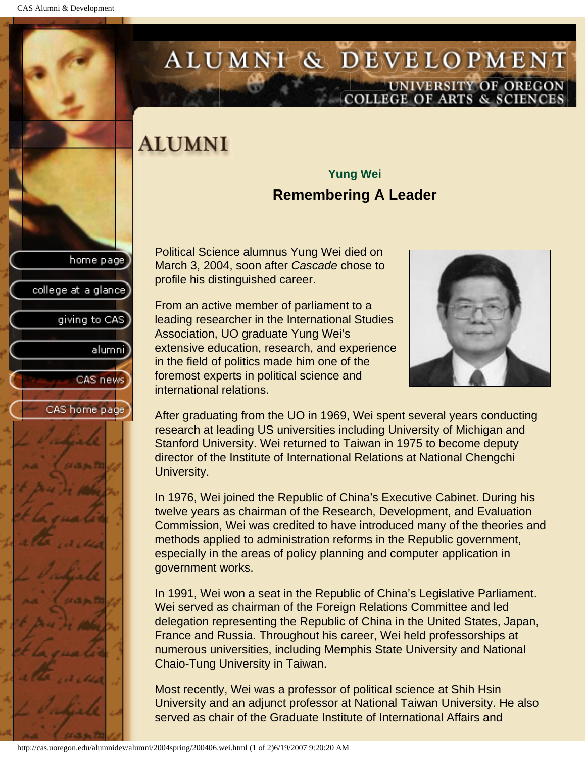college at a glance

giving to CAS

alumni]

CAS news

CAS home page

## <span id="page-50-0"></span>ALUMNI & DEVELOPMENT UNIVERSITY OF OREGON<br>COLLEGE OF ARTS & SCIENCES

## **ALUMNI**

## **Yung Wei Remembering A Leader**

Political Science alumnus Yung Wei died on March 3, 2004, soon after *Cascade* chose to profile his distinguished career.

From an active member of parliament to a leading researcher in the International Studies Association, UO graduate Yung Wei's extensive education, research, and experience in the field of politics made him one of the foremost experts in political science and international relations.



After graduating from the UO in 1969, Wei spent several years conducting research at leading US universities including University of Michigan and Stanford University. Wei returned to Taiwan in 1975 to become deputy director of the Institute of International Relations at National Chengchi University.

In 1976, Wei joined the Republic of China's Executive Cabinet. During his twelve years as chairman of the Research, Development, and Evaluation Commission, Wei was credited to have introduced many of the theories and methods applied to administration reforms in the Republic government, especially in the areas of policy planning and computer application in government works.

In 1991, Wei won a seat in the Republic of China's Legislative Parliament. Wei served as chairman of the Foreign Relations Committee and led delegation representing the Republic of China in the United States, Japan, France and Russia. Throughout his career, Wei held professorships at numerous universities, including Memphis State University and National Chaio-Tung University in Taiwan.

Most recently, Wei was a professor of political science at Shih Hsin University and an adjunct professor at National Taiwan University. He also served as chair of the Graduate Institute of International Affairs and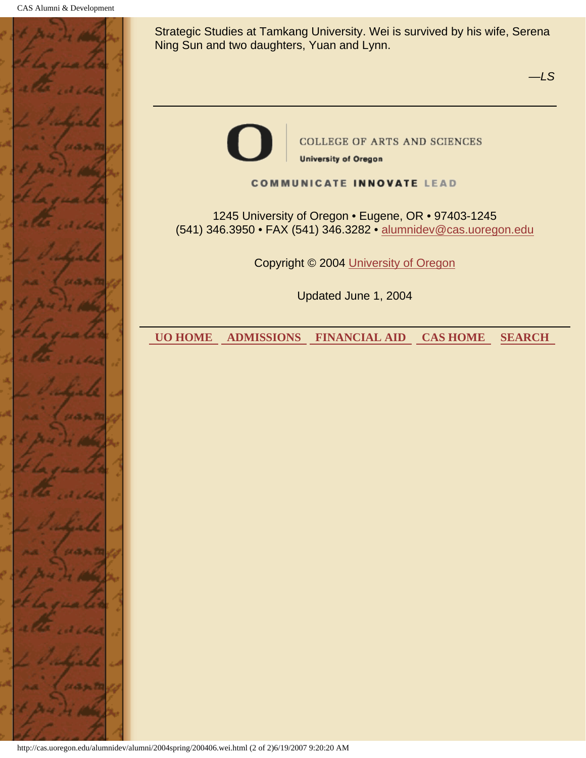

Strategic Studies at Tamkang University. Wei is survived by his wife, Serena Ning Sun and two daughters, Yuan and Lynn.

*—LS*

COLLEGE OF ARTS AND SCIENCES **University of Oregon** 

**COMMUNICATE INNOVATE LEAD** 

1245 University of Oregon • Eugene, OR • 97403-1245 (541) 346.3950 • FAX (541) 346.3282 • alumnidev@cas.uoregon.edu

Copyright © 2004 University of Oregon

Updated June 1, 2004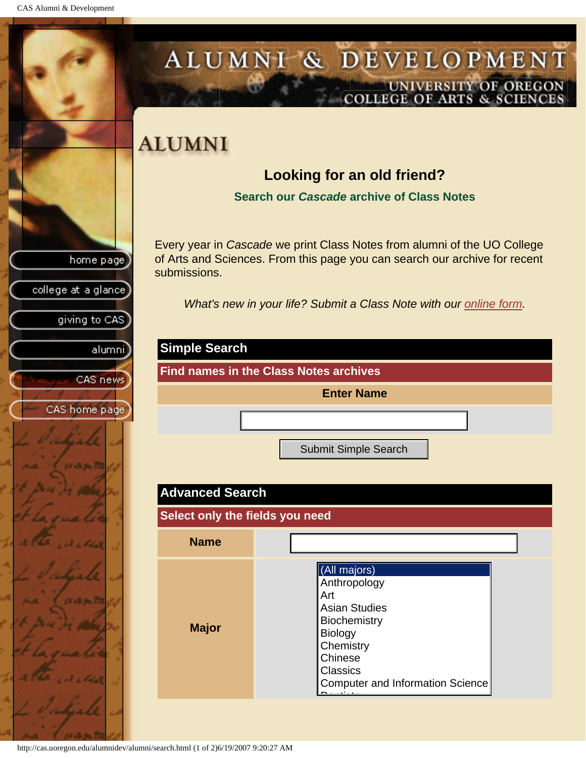<span id="page-52-0"></span>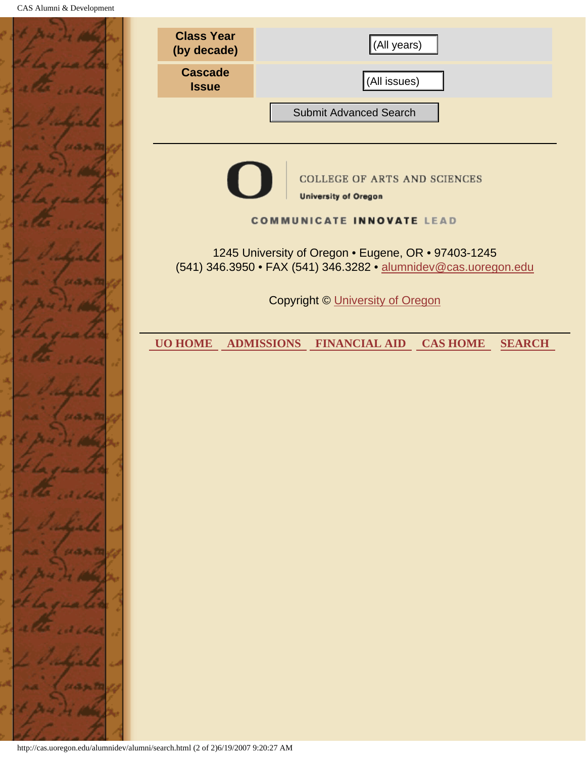|              | <b>Class Year</b><br>(by decade)                                                 | (All years)                                                                                                            |
|--------------|----------------------------------------------------------------------------------|------------------------------------------------------------------------------------------------------------------------|
|              | <b>Cascade</b><br><b>Issue</b>                                                   | (All issues)                                                                                                           |
|              |                                                                                  | <b>Submit Advanced Search</b>                                                                                          |
| 5570         |                                                                                  |                                                                                                                        |
|              |                                                                                  | COLLEGE OF ARTS AND SCIENCES<br><b>University of Oregon</b>                                                            |
|              |                                                                                  | <b>COMMUNICATE INNOVATE LEAD</b>                                                                                       |
|              |                                                                                  | 1245 University of Oregon . Eugene, OR . 97403-1245<br>(541) 346.3950 • FAX (541) 346.3282 • alumnidev@cas.uoregon.edu |
|              |                                                                                  | <b>Copyright © University of Oregon</b>                                                                                |
|              | <b>UO HOME</b>                                                                   | <b>ADMISSIONS</b><br><b>FINANCIAL AID CAS HOME</b><br><b>SEARCH</b>                                                    |
|              |                                                                                  |                                                                                                                        |
| 6. September |                                                                                  |                                                                                                                        |
|              |                                                                                  |                                                                                                                        |
|              |                                                                                  |                                                                                                                        |
|              |                                                                                  |                                                                                                                        |
|              |                                                                                  |                                                                                                                        |
|              |                                                                                  |                                                                                                                        |
|              |                                                                                  |                                                                                                                        |
|              |                                                                                  |                                                                                                                        |
|              |                                                                                  |                                                                                                                        |
|              | http://cas.uoregon.edu/alumnidev/alumni/search.html (2 of 2)6/19/2007 9:20:27 AM |                                                                                                                        |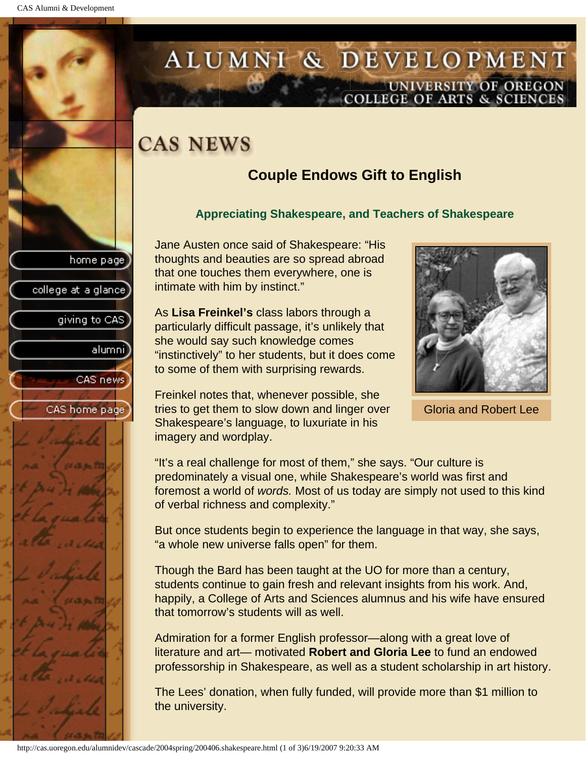college at a glance

giving to CAS

alumnil

CAS news

CAS home page

## <span id="page-54-0"></span>ALUMNI & DEVELOPMENT UNIVERSITY OF OREGON<br>COLLEGE OF ARTS & SCIENCES

## **CAS NEWS**

## **Couple Endows Gift to English**

### **Appreciating Shakespeare, and Teachers of Shakespeare**

Jane Austen once said of Shakespeare: "His thoughts and beauties are so spread abroad that one touches them everywhere, one is intimate with him by instinct."

As **Lisa Freinkel's** class labors through a particularly difficult passage, it's unlikely that she would say such knowledge comes "instinctively" to her students, but it does come to some of them with surprising rewards.

Freinkel notes that, whenever possible, she tries to get them to slow down and linger over Shakespeare's language, to luxuriate in his imagery and wordplay.



Gloria and Robert Lee

"It's a real challenge for most of them," she says. "Our culture is predominately a visual one, while Shakespeare's world was first and foremost a world of *words.* Most of us today are simply not used to this kind of verbal richness and complexity."

But once students begin to experience the language in that way, she says, "a whole new universe falls open" for them.

Though the Bard has been taught at the UO for more than a century, students continue to gain fresh and relevant insights from his work. And, happily, a College of Arts and Sciences alumnus and his wife have ensured that tomorrow's students will as well.

Admiration for a former English professor—along with a great love of literature and art— motivated **Robert and Gloria Lee** to fund an endowed professorship in Shakespeare, as well as a student scholarship in art history.

The Lees' donation, when fully funded, will provide more than \$1 million to the university.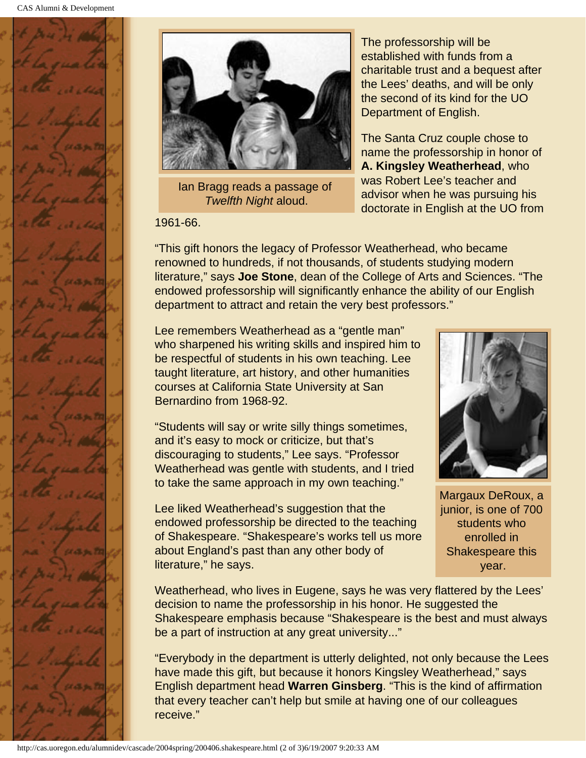



Ian Bragg reads a passage of *Twelfth Night* aloud.

1961-66.

The professorship will be established with funds from a charitable trust and a bequest after the Lees' deaths, and will be only the second of its kind for the UO Department of English.

The Santa Cruz couple chose to name the professorship in honor of **A. Kingsley Weatherhead**, who was Robert Lee's teacher and advisor when he was pursuing his doctorate in English at the UO from

"This gift honors the legacy of Professor Weatherhead, who became renowned to hundreds, if not thousands, of students studying modern literature," says **Joe Stone**, dean of the College of Arts and Sciences. "The endowed professorship will significantly enhance the ability of our English department to attract and retain the very best professors."

Lee remembers Weatherhead as a "gentle man" who sharpened his writing skills and inspired him to be respectful of students in his own teaching. Lee taught literature, art history, and other humanities courses at California State University at San Bernardino from 1968-92.

"Students will say or write silly things sometimes, and it's easy to mock or criticize, but that's discouraging to students," Lee says. "Professor Weatherhead was gentle with students, and I tried to take the same approach in my own teaching."

Lee liked Weatherhead's suggestion that the endowed professorship be directed to the teaching of Shakespeare. "Shakespeare's works tell us more about England's past than any other body of literature," he says.



Margaux DeRoux, a junior, is one of 700 students who enrolled in Shakespeare this year.

Weatherhead, who lives in Eugene, says he was very flattered by the Lees' decision to name the professorship in his honor. He suggested the Shakespeare emphasis because "Shakespeare is the best and must always be a part of instruction at any great university..."

"Everybody in the department is utterly delighted, not only because the Lees have made this gift, but because it honors Kingsley Weatherhead," says English department head **Warren Ginsberg**. "This is the kind of affirmation that every teacher can't help but smile at having one of our colleagues receive."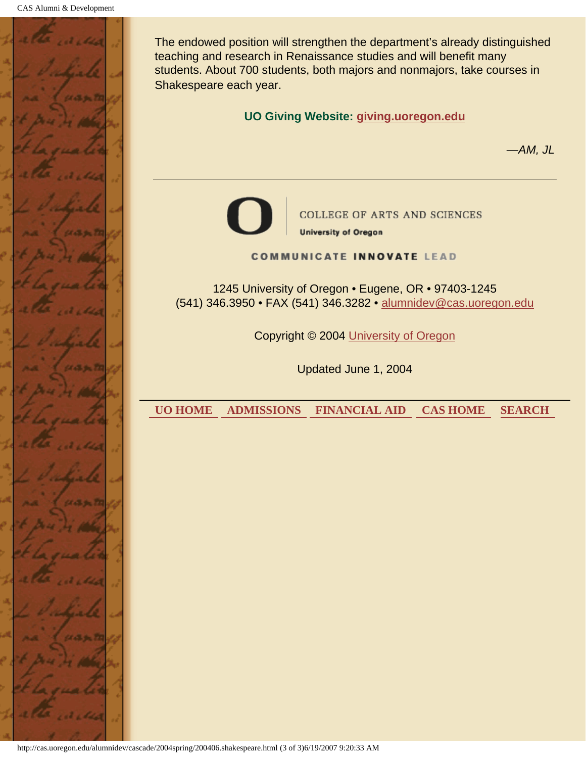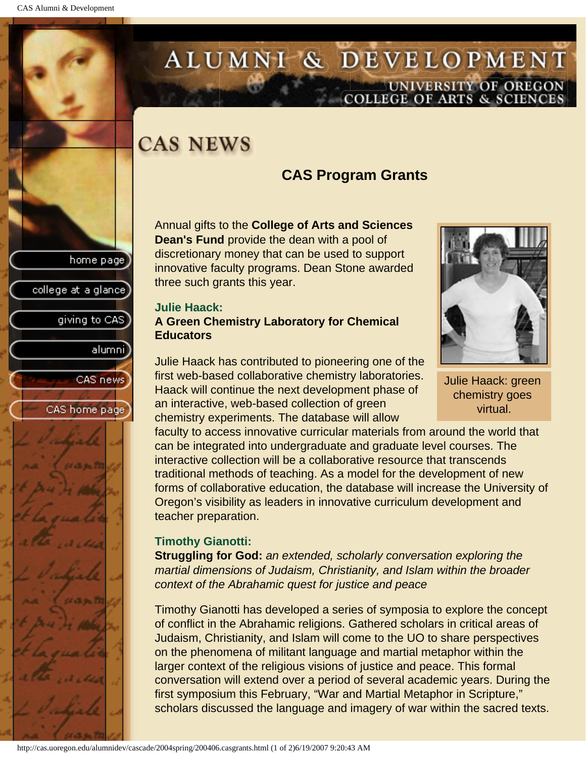college at a glance

giving to CAS

alumnil

CAS news

CAS home page

## <span id="page-57-0"></span>ALUMNI & DEVELOPMENT UNIVERSITY OF OREGON<br>COLLEGE OF ARTS & SCIENCES

## **CAS NEWS**

## **CAS Program Grants**

Annual gifts to the **College of Arts and Sciences Dean's Fund** provide the dean with a pool of discretionary money that can be used to support innovative faculty programs. Dean Stone awarded three such grants this year.

#### **Julie Haack: A Green Chemistry Laboratory for Chemical Educators**

Julie Haack has contributed to pioneering one of the first web-based collaborative chemistry laboratories. Haack will continue the next development phase of an interactive, web-based collection of green chemistry experiments. The database will allow

faculty to access innovative curricular materials from around the world that can be integrated into undergraduate and graduate level courses. The interactive collection will be a collaborative resource that transcends traditional methods of teaching. As a model for the development of new forms of collaborative education, the database will increase the University of Oregon's visibility as leaders in innovative curriculum development and teacher preparation.

### **Timothy Gianotti:**

**Struggling for God:** *an extended, scholarly conversation exploring the martial dimensions of Judaism, Christianity, and Islam within the broader context of the Abrahamic quest for justice and peace*

Timothy Gianotti has developed a series of symposia to explore the concept of conflict in the Abrahamic religions. Gathered scholars in critical areas of Judaism, Christianity, and Islam will come to the UO to share perspectives on the phenomena of militant language and martial metaphor within the larger context of the religious visions of justice and peace. This formal conversation will extend over a period of several academic years. During the first symposium this February, "War and Martial Metaphor in Scripture," scholars discussed the language and imagery of war within the sacred texts.



Julie Haack: green chemistry goes virtual.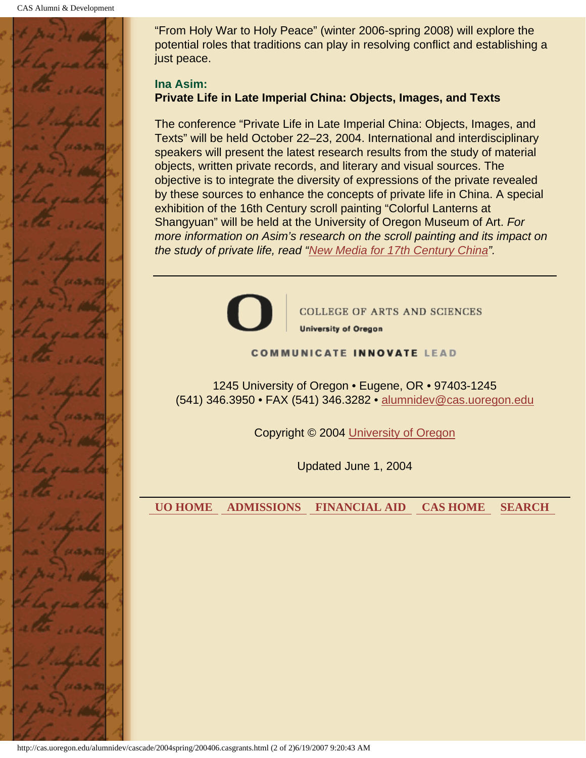

"From Holy War to Holy Peace" (winter 2006-spring 2008) will explore the potential roles that traditions can play in resolving conflict and establishing a just peace.

#### **Ina Asim: Private Life in Late Imperial China: Objects, Images, and Texts**

The conference "Private Life in Late Imperial China: Objects, Images, and Texts" will be held October 22–23, 2004. International and interdisciplinary speakers will present the latest research results from the study of material objects, written private records, and literary and visual sources. The objective is to integrate the diversity of expressions of the private revealed by these sources to enhance the concepts of private life in China. A special exhibition of the 16th Century scroll painting "Colorful Lanterns at Shangyuan" will be held at the University of Oregon Museum of Art. *For more information on Asim's research on the scroll painting and its impact on the study of private life, read "[New Media for 17th Century China](#page-25-0)".*



**COLLEGE OF ARTS AND SCIENCES** 

**University of Oregon** 

#### **COMMUNICATE INNOVATE LEAD**

1245 University of Oregon • Eugene, OR • 97403-1245 (541) 346.3950 • FAX (541) 346.3282 • alumnidev@cas.uoregon.edu

Copyright © 2004 University of Oregon

Updated June 1, 2004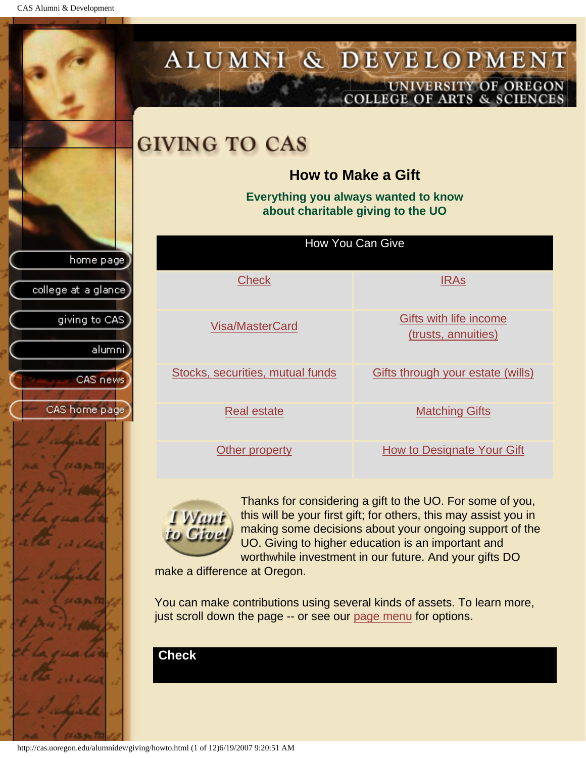CAS Alumni & Development

<span id="page-59-1"></span>

<span id="page-59-0"></span>http://cas.uoregon.edu/alumnidev/giving/howto.html (1 of 12)6/19/2007 9:20:51 AM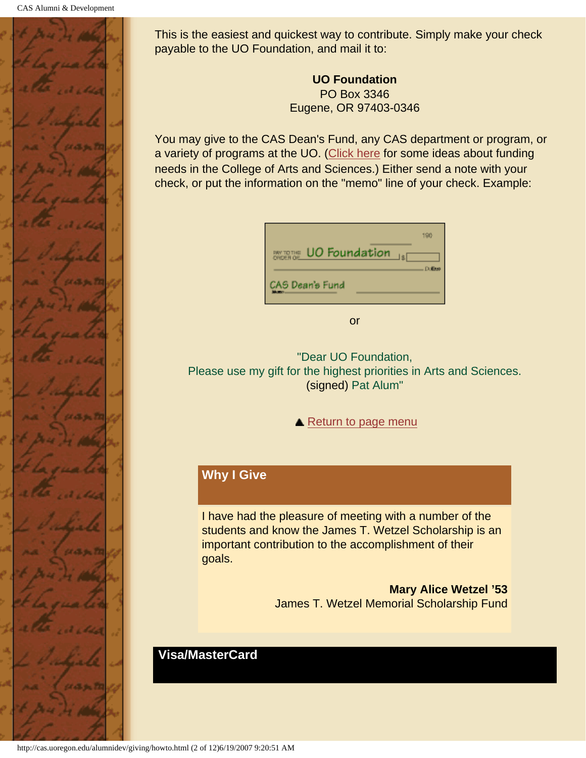

This is the easiest and quickest way to contribute. Simply make your check payable to the UO Foundation, and mail it to:

> **UO Foundation** PO Box 3346 Eugene, OR 97403-0346

You may give to the CAS Dean's Fund, any CAS department or program, or a variety of programs at the UO. [\(Click here](#page-67-1) for some ideas about funding needs in the College of Arts and Sciences.) Either send a note with your check, or put the information on the "memo" line of your check. Example:

| UO Foundation<br>BM TOTHE | 190           |
|---------------------------|---------------|
| CAS Dean's Fund           | <b>Dollar</b> |

or

"Dear UO Foundation, Please use my gift for the highest priorities in Arts and Sciences. (signed) Pat Alum"

▲ [Return to page menu](#page-59-1)

## **Why I Give**

I have had the pleasure of meeting with a number of the students and know the James T. Wetzel Scholarship is an important contribution to the accomplishment of their goals.

> **Mary Alice Wetzel '53** James T. Wetzel Memorial Scholarship Fund

### **Visa/MasterCard**

<span id="page-60-0"></span>http://cas.uoregon.edu/alumnidev/giving/howto.html (2 of 12)6/19/2007 9:20:51 AM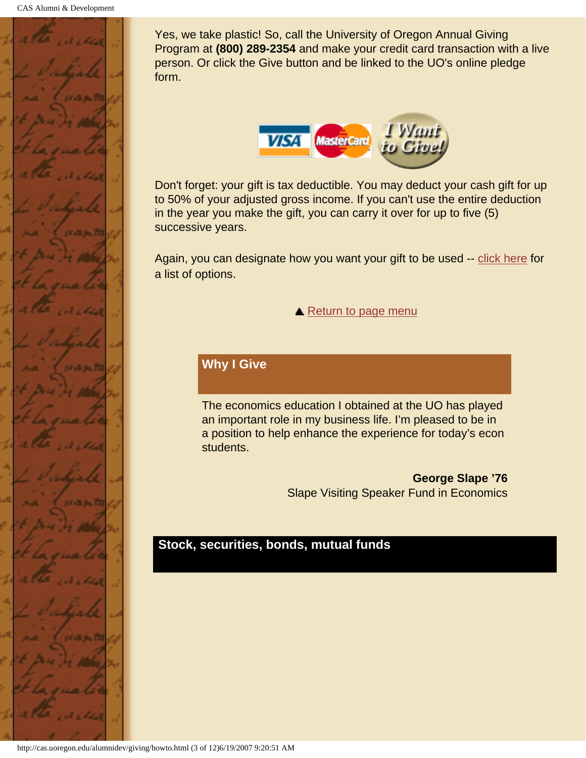

Yes, we take plastic! So, call the University of Oregon Annual Giving Program at **(800) 289-2354** and make your credit card transaction with a live person. Or click the Give button and be linked to the UO's online pledge form.



Don't forget: your gift is tax deductible. You may deduct your cash gift for up to 50% of your adjusted gross income. If you can't use the entire deduction in the year you make the gift, you can carry it over for up to five (5) successive years.

Again, you can designate how you want your gift to be used -- [click here](#page-67-1) for a list of options.

▲ [Return to page menu](#page-59-1)

### **Why I Give**

The economics education I obtained at the UO has played an important role in my business life. I'm pleased to be in a position to help enhance the experience for today's econ students.

> **George Slape '76** Slape Visiting Speaker Fund in Economics

### <span id="page-61-0"></span>**Stock, securities, bonds, mutual funds**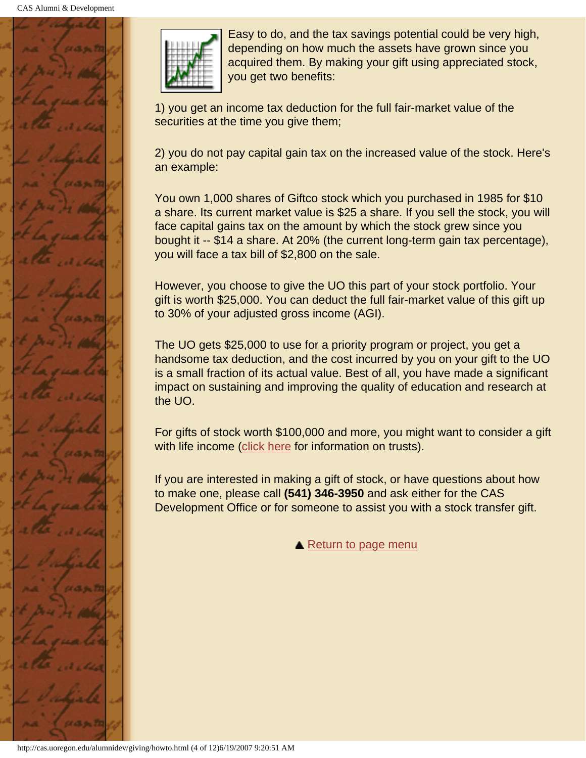



Easy to do, and the tax savings potential could be very high, depending on how much the assets have grown since you acquired them. By making your gift using appreciated stock, you get two benefits:

1) you get an income tax deduction for the full fair-market value of the securities at the time you give them;

2) you do not pay capital gain tax on the increased value of the stock. Here's an example:

You own 1,000 shares of Giftco stock which you purchased in 1985 for \$10 a share. Its current market value is \$25 a share. If you sell the stock, you will face capital gains tax on the amount by which the stock grew since you bought it -- \$14 a share. At 20% (the current long-term gain tax percentage), you will face a tax bill of \$2,800 on the sale.

However, you choose to give the UO this part of your stock portfolio. Your gift is worth \$25,000. You can deduct the full fair-market value of this gift up to 30% of your adjusted gross income (AGI).

The UO gets \$25,000 to use for a priority program or project, you get a handsome tax deduction, and the cost incurred by you on your gift to the UO is a small fraction of its actual value. Best of all, you have made a significant impact on sustaining and improving the quality of education and research at the UO.

For gifts of stock worth \$100,000 and more, you might want to consider a gift with life income ([click here](#page-66-0) for information on trusts).

If you are interested in making a gift of stock, or have questions about how to make one, please call **(541) 346-3950** and ask either for the CAS Development Office or for someone to assist you with a stock transfer gift.

**A** [Return to page menu](#page-59-1)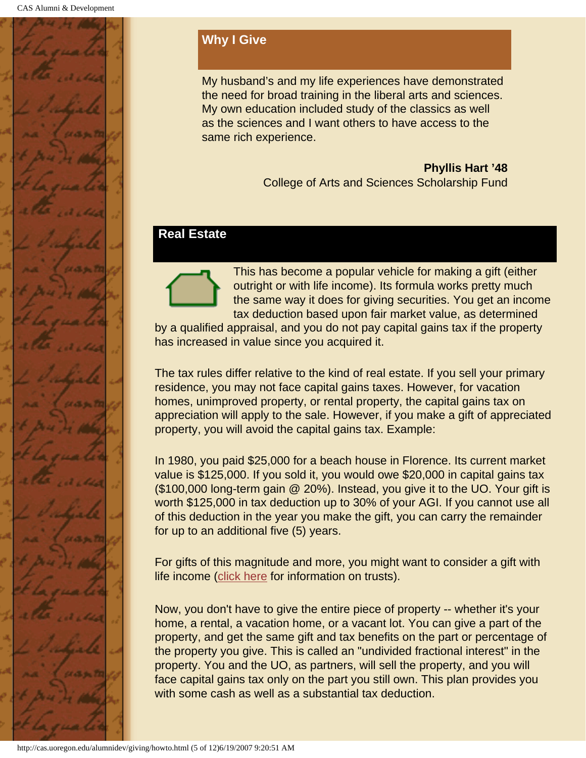

## **Why I Give**

My husband's and my life experiences have demonstrated the need for broad training in the liberal arts and sciences. My own education included study of the classics as well as the sciences and I want others to have access to the same rich experience.

> **Phyllis Hart '48** College of Arts and Sciences Scholarship Fund

### <span id="page-63-0"></span>**Real Estate**



This has become a popular vehicle for making a gift (either outright or with life income). Its formula works pretty much the same way it does for giving securities. You get an income tax deduction based upon fair market value, as determined

by a qualified appraisal, and you do not pay capital gains tax if the property has increased in value since you acquired it.

The tax rules differ relative to the kind of real estate. If you sell your primary residence, you may not face capital gains taxes. However, for vacation homes, unimproved property, or rental property, the capital gains tax on appreciation will apply to the sale. However, if you make a gift of appreciated property, you will avoid the capital gains tax. Example:

In 1980, you paid \$25,000 for a beach house in Florence. Its current market value is \$125,000. If you sold it, you would owe \$20,000 in capital gains tax (\$100,000 long-term gain @ 20%). Instead, you give it to the UO. Your gift is worth \$125,000 in tax deduction up to 30% of your AGI. If you cannot use all of this deduction in the year you make the gift, you can carry the remainder for up to an additional five (5) years.

For gifts of this magnitude and more, you might want to consider a gift with life income ([click here](#page-66-0) for information on trusts).

Now, you don't have to give the entire piece of property -- whether it's your home, a rental, a vacation home, or a vacant lot. You can give a part of the property, and get the same gift and tax benefits on the part or percentage of the property you give. This is called an "undivided fractional interest" in the property. You and the UO, as partners, will sell the property, and you will face capital gains tax only on the part you still own. This plan provides you with some cash as well as a substantial tax deduction.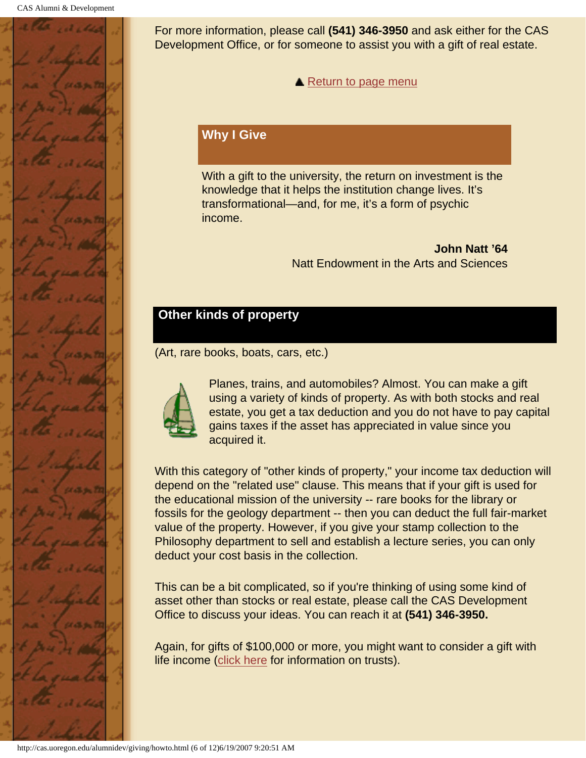

For more information, please call **(541) 346-3950** and ask either for the CAS Development Office, or for someone to assist you with a gift of real estate.

**A** [Return to page menu](#page-59-1)

### **Why I Give**

With a gift to the university, the return on investment is the knowledge that it helps the institution change lives. It's transformational—and, for me, it's a form of psychic income.

> **John Natt '64** Natt Endowment in the Arts and Sciences

## <span id="page-64-0"></span>**Other kinds of property**

(Art, rare books, boats, cars, etc.)



Planes, trains, and automobiles? Almost. You can make a gift using a variety of kinds of property. As with both stocks and real estate, you get a tax deduction and you do not have to pay capital gains taxes if the asset has appreciated in value since you acquired it.

With this category of "other kinds of property," your income tax deduction will depend on the "related use" clause. This means that if your gift is used for the educational mission of the university -- rare books for the library or fossils for the geology department -- then you can deduct the full fair-market value of the property. However, if you give your stamp collection to the Philosophy department to sell and establish a lecture series, you can only deduct your cost basis in the collection.

This can be a bit complicated, so if you're thinking of using some kind of asset other than stocks or real estate, please call the CAS Development Office to discuss your ideas. You can reach it at **(541) 346-3950.**

Again, for gifts of \$100,000 or more, you might want to consider a gift with life income ([click here](#page-66-0) for information on trusts).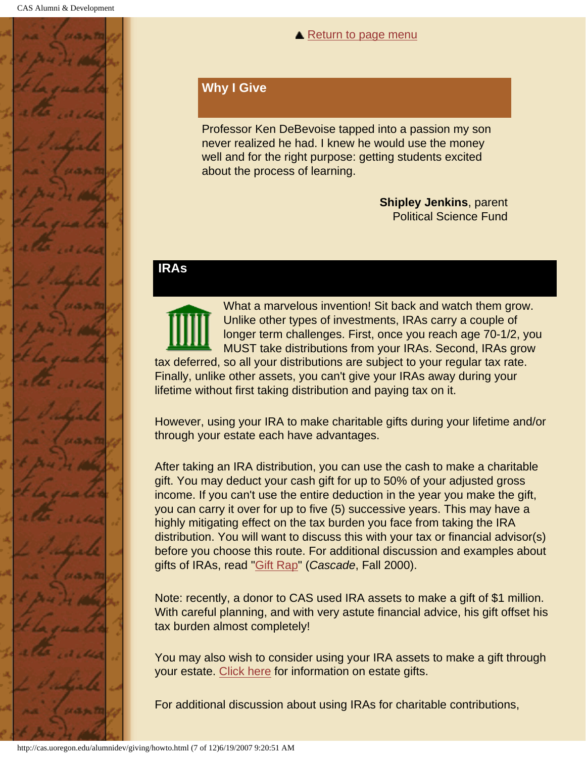

#### **▲ [Return to page menu](#page-59-1)**

### **Why I Give**

Professor Ken DeBevoise tapped into a passion my son never realized he had. I knew he would use the money well and for the right purpose: getting students excited about the process of learning.

> **Shipley Jenkins**, parent Political Science Fund

### <span id="page-65-0"></span>**IRAs**

What a marvelous invention! Sit back and watch them grow. Unlike other types of investments, IRAs carry a couple of longer term challenges. First, once you reach age 70-1/2, you MUST take distributions from your IRAs. Second, IRAs grow tax deferred, so all your distributions are subject to your regular tax rate. Finally, unlike other assets, you can't give your IRAs away during your lifetime without first taking distribution and paying tax on it.

However, using your IRA to make charitable gifts during your lifetime and/or through your estate each have advantages.

After taking an IRA distribution, you can use the cash to make a charitable gift. You may deduct your cash gift for up to 50% of your adjusted gross income. If you can't use the entire deduction in the year you make the gift, you can carry it over for up to five (5) successive years. This may have a highly mitigating effect on the tax burden you face from taking the IRA distribution. You will want to discuss this with your tax or financial advisor(s) before you choose this route. For additional discussion and examples about gifts of IRAs, read "Gift Rap" (*Cascade*, Fall 2000).

Note: recently, a donor to CAS used IRA assets to make a gift of \$1 million. With careful planning, and with very astute financial advice, his gift offset his tax burden almost completely!

You may also wish to consider using your IRA assets to make a gift through your estate. [Click here](#page-67-0) for information on estate gifts.

For additional discussion about using IRAs for charitable contributions,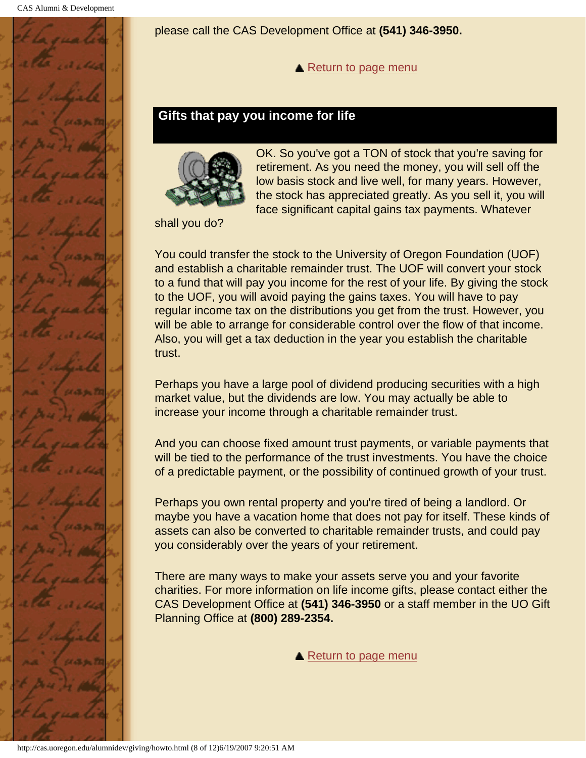<span id="page-66-0"></span>

please call the CAS Development Office at **(541) 346-3950.**

**A** [Return to page menu](#page-59-1)

### **Gifts that pay you income for life**



OK. So you've got a TON of stock that you're saving for retirement. As you need the money, you will sell off the low basis stock and live well, for many years. However, the stock has appreciated greatly. As you sell it, you will face significant capital gains tax payments. Whatever

shall you do?

You could transfer the stock to the University of Oregon Foundation (UOF) and establish a charitable remainder trust. The UOF will convert your stock to a fund that will pay you income for the rest of your life. By giving the stock to the UOF, you will avoid paying the gains taxes. You will have to pay regular income tax on the distributions you get from the trust. However, you will be able to arrange for considerable control over the flow of that income. Also, you will get a tax deduction in the year you establish the charitable trust.

Perhaps you have a large pool of dividend producing securities with a high market value, but the dividends are low. You may actually be able to increase your income through a charitable remainder trust.

And you can choose fixed amount trust payments, or variable payments that will be tied to the performance of the trust investments. You have the choice of a predictable payment, or the possibility of continued growth of your trust.

Perhaps you own rental property and you're tired of being a landlord. Or maybe you have a vacation home that does not pay for itself. These kinds of assets can also be converted to charitable remainder trusts, and could pay you considerably over the years of your retirement.

There are many ways to make your assets serve you and your favorite charities. For more information on life income gifts, please contact either the CAS Development Office at **(541) 346-3950** or a staff member in the UO Gift Planning Office at **(800) 289-2354.**

**▲ [Return to page menu](#page-59-1)**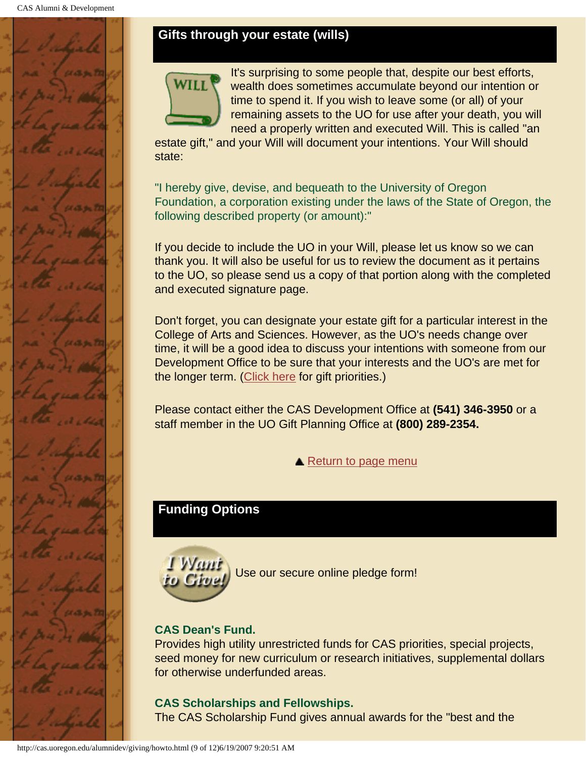## <span id="page-67-0"></span>**Gifts through your estate (wills)**



It's surprising to some people that, despite our best efforts, wealth does sometimes accumulate beyond our intention or time to spend it. If you wish to leave some (or all) of your remaining assets to the UO for use after your death, you will need a properly written and executed Will. This is called "an

estate gift," and your Will will document your intentions. Your Will should state:

"I hereby give, devise, and bequeath to the University of Oregon Foundation, a corporation existing under the laws of the State of Oregon, the following described property (or amount):"

If you decide to include the UO in your Will, please let us know so we can thank you. It will also be useful for us to review the document as it pertains to the UO, so please send us a copy of that portion along with the completed and executed signature page.

Don't forget, you can designate your estate gift for a particular interest in the College of Arts and Sciences. However, as the UO's needs change over time, it will be a good idea to discuss your intentions with someone from our Development Office to be sure that your interests and the UO's are met for the longer term. ([Click here](#page-67-1) for gift priorities.)

Please contact either the CAS Development Office at **(541) 346-3950** or a staff member in the UO Gift Planning Office at **(800) 289-2354.**

**▲ [Return to page menu](#page-59-1)** 

## <span id="page-67-1"></span>**Funding Options**



Use our secure online pledge form!

### **CAS Dean's Fund.**

Provides high utility unrestricted funds for CAS priorities, special projects, seed money for new curriculum or research initiatives, supplemental dollars for otherwise underfunded areas.

### **CAS Scholarships and Fellowships.**

The CAS Scholarship Fund gives annual awards for the "best and the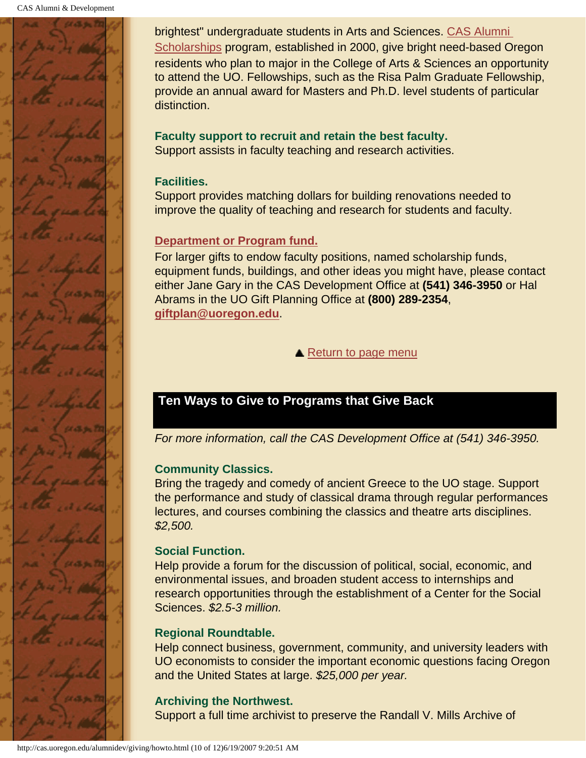

brightest" undergraduate students in Arts and Sciences. CAS Alumni Scholarships program, established in 2000, give bright need-based Oregon residents who plan to major in the College of Arts & Sciences an opportunity to attend the UO. Fellowships, such as the Risa Palm Graduate Fellowship, provide an annual award for Masters and Ph.D. level students of particular distinction.

## **Faculty support to recruit and retain the best faculty.**

Support assists in faculty teaching and research activities.

### **Facilities.**

Support provides matching dollars for building renovations needed to improve the quality of teaching and research for students and faculty.

### **Department or Program fund.**

For larger gifts to endow faculty positions, named scholarship funds, equipment funds, buildings, and other ideas you might have, please contact either Jane Gary in the CAS Development Office at **(541) 346-3950** or Hal Abrams in the UO Gift Planning Office at **(800) 289-2354**, **giftplan@uoregon.edu**.

**▲ [Return to page menu](#page-59-1)** 

## <span id="page-68-0"></span>**Ten Ways to Give to Programs that Give Back**

*For more information, call the CAS Development Office at (541) 346-3950.*

### **Community Classics.**

Bring the tragedy and comedy of ancient Greece to the UO stage. Support the performance and study of classical drama through regular performances lectures, and courses combining the classics and theatre arts disciplines. *\$2,500.*

### **Social Function.**

Help provide a forum for the discussion of political, social, economic, and environmental issues, and broaden student access to internships and research opportunities through the establishment of a Center for the Social Sciences. *\$2.5-3 million.*

### **Regional Roundtable.**

Help connect business, government, community, and university leaders with UO economists to consider the important economic questions facing Oregon and the United States at large. *\$25,000 per year.*

## **Archiving the Northwest.**

Support a full time archivist to preserve the Randall V. Mills Archive of